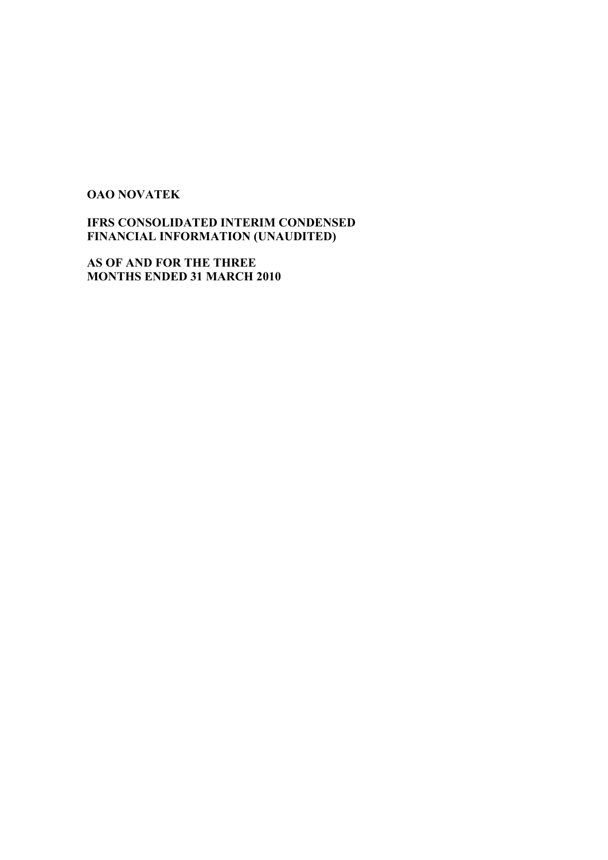#### **OAO NOVATEK**

**IFRS CONSOLIDATED INTERIM CONDENSED FINANCIAL INFORMATION (UNAUDITED)** 

**AS OF AND FOR THE THREE MONTHS ENDED 31 MARCH 2010**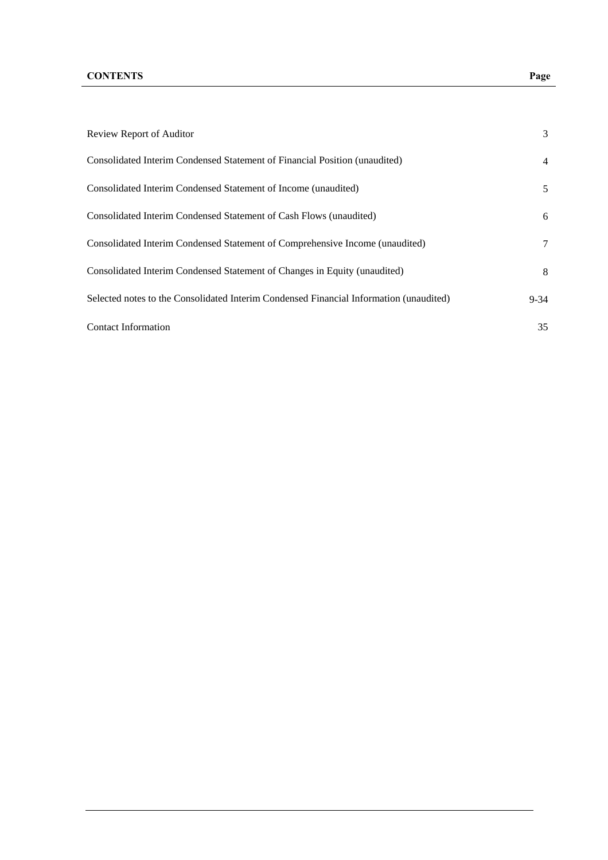| Review Report of Auditor                                                               | 3              |
|----------------------------------------------------------------------------------------|----------------|
| Consolidated Interim Condensed Statement of Financial Position (unaudited)             | $\overline{4}$ |
| Consolidated Interim Condensed Statement of Income (unaudited)                         | 5              |
| Consolidated Interim Condensed Statement of Cash Flows (unaudited)                     | 6              |
| Consolidated Interim Condensed Statement of Comprehensive Income (unaudited)           | 7              |
| Consolidated Interim Condensed Statement of Changes in Equity (unaudited)              | 8              |
| Selected notes to the Consolidated Interim Condensed Financial Information (unaudited) | $9 - 34$       |
| <b>Contact Information</b>                                                             | 35             |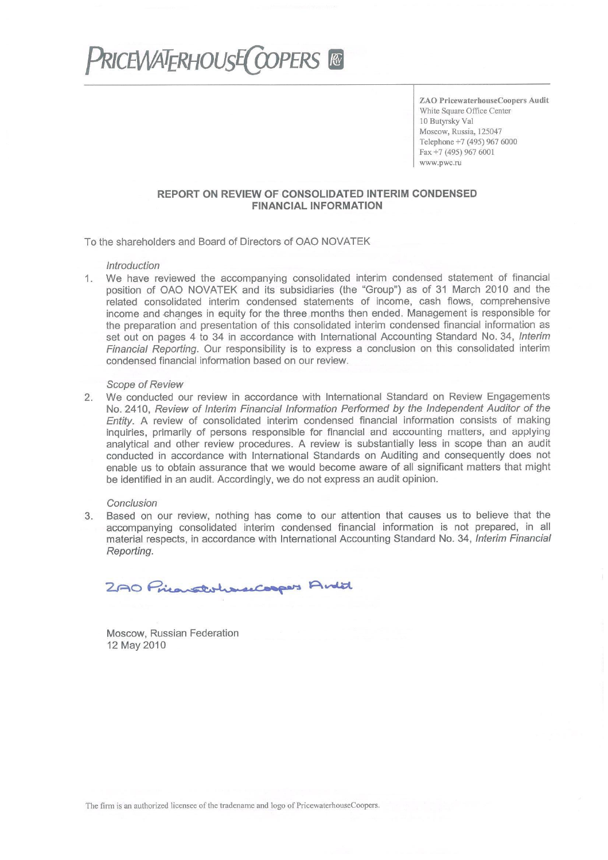# **PRICEWATERHOUSE COOPERS &**

**ZAO PricewaterhouseCoopers Audit** White Square Office Center 10 Butyrsky Val Moscow, Russia, 125047 Telephone +7 (495) 967 6000 Fax +7 (495) 967 6001 www.pwc.ru

## REPORT ON REVIEW OF CONSOLIDATED INTERIM CONDENSED **FINANCIAL INFORMATION**

To the shareholders and Board of Directors of OAO NOVATEK

### *<u>Introduction</u>*

We have reviewed the accompanying consolidated interim condensed statement of financial  $1.$ position of OAO NOVATEK and its subsidiaries (the "Group") as of 31 March 2010 and the related consolidated interim condensed statements of income, cash flows, comprehensive income and changes in equity for the three months then ended. Management is responsible for the preparation and presentation of this consolidated interim condensed financial information as set out on pages 4 to 34 in accordance with International Accounting Standard No. 34, Interim Financial Reporting. Our responsibility is to express a conclusion on this consolidated interim condensed financial information based on our review.

## **Scope of Review**

We conducted our review in accordance with International Standard on Review Engagements  $2.$ No. 2410, Review of Interim Financial Information Performed by the Independent Auditor of the Entity. A review of consolidated interim condensed financial information consists of making inquiries, primarily of persons responsible for financial and accounting matters, and applying

analytical and other review procedures. A review is substantially less in scope than an audit conducted in accordance with International Standards on Auditing and consequently does not enable us to obtain assurance that we would become aware of all significant matters that might be identified in an audit. Accordingly, we do not express an audit opinion.

## Conclusion

Based on our review, nothing has come to our attention that causes us to believe that the 3. accompanying consolidated interim condensed financial information is not prepared, in all material respects, in accordance with International Accounting Standard No. 34, Interim Financial Reporting.

2AO Prienstohancoopers Andit

Moscow, Russian Federation 12 May 2010

The firm is an authorized licensee of the tradename and logo of PricewaterhouseCoopers.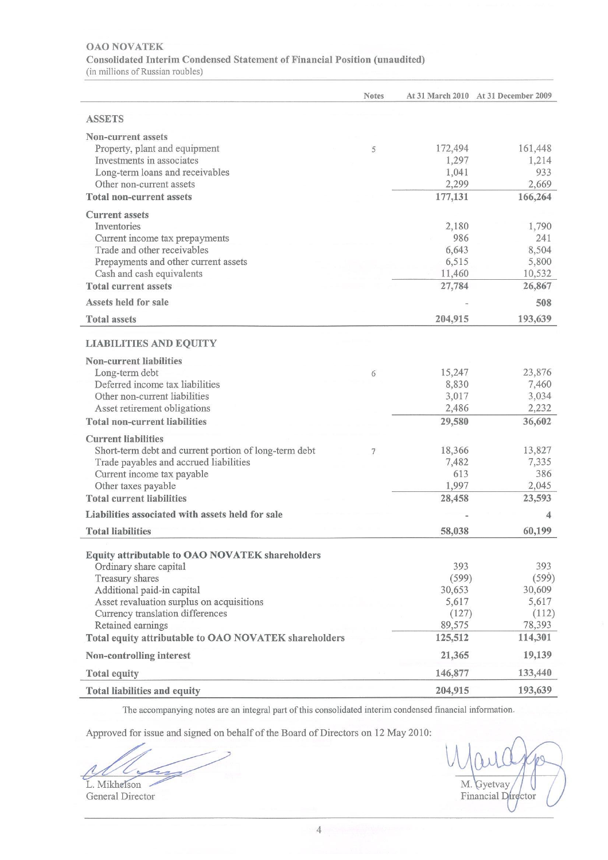## **OAO NOVATEK** Consolidated Interim Condensed Statement of Financial Position (unaudited) (in millions of Russian roubles)

|                                                                                                                                                                                                                        | <b>Notes</b> |                                                    | At 31 March 2010 At 31 December 2009               |
|------------------------------------------------------------------------------------------------------------------------------------------------------------------------------------------------------------------------|--------------|----------------------------------------------------|----------------------------------------------------|
| <b>ASSETS</b>                                                                                                                                                                                                          |              |                                                    |                                                    |
| <b>Non-current assets</b><br>Property, plant and equipment<br>Investments in associates<br>Long-term loans and receivables                                                                                             | 5            | 172,494<br>1,297<br>1,041                          | 161,448<br>1,214<br>933                            |
| Other non-current assets                                                                                                                                                                                               |              | 2,299                                              | 2,669                                              |
| <b>Total non-current assets</b>                                                                                                                                                                                        |              | 177,131                                            | 166,264                                            |
| <b>Current assets</b><br>Inventories<br>Current income tax prepayments<br>Trade and other receivables<br>Prepayments and other current assets<br>Cash and cash equivalents<br><b>Total current assets</b>              |              | 2,180<br>986<br>6,643<br>6,515<br>11,460<br>27,784 | 1,790<br>241<br>8,504<br>5,800<br>10,532<br>26,867 |
| Assets held for sale                                                                                                                                                                                                   |              |                                                    | 508                                                |
| <b>Total assets</b>                                                                                                                                                                                                    |              | 204,915                                            | 193,639                                            |
| <b>LIABILITIES AND EQUITY</b>                                                                                                                                                                                          |              |                                                    |                                                    |
| <b>Non-current liabilities</b><br>Long-term debt<br>Deferred income tax liabilities<br>Other non-current liabilities<br>Asset retirement obligations                                                                   | 6            | 15,247<br>8,830<br>3,017<br>2,486                  | 23,876<br>7,460<br>3,034<br>2,232                  |
| <b>Total non-current liabilities</b>                                                                                                                                                                                   |              | 29,580                                             | 36,602                                             |
| <b>Current liabilities</b><br>Short-term debt and current portion of long-term debt<br>Trade payables and accrued liabilities<br>Current income tax payable<br>Other taxes payable<br><b>Total current liabilities</b> |              | 18,366<br>7,482<br>613<br>1,997<br>28,458          | 13,827<br>7,335<br>386<br>2,045<br>23,593          |
| Liabilities associated with assets held for sale                                                                                                                                                                       |              |                                                    | 4                                                  |
| <b>Total liabilities</b>                                                                                                                                                                                               |              | 58,038                                             | 60,199                                             |
| Equity attributable to OAO NOVATEK shareholders<br>Ordinary share capital<br>Treasury shares<br>Additional paid-in capital                                                                                             |              | 393<br>(599)<br>30,653                             | 393<br>(599)<br>30,609                             |
| Asset revaluation surplus on acquisitions<br>Currency translation differences<br>Retained earnings                                                                                                                     |              | 5,617<br>(127)<br>89,575                           | 5,617<br>(112)<br>78,393<br>114,301                |
| Total equity attributable to OAO NOVATEK shareholders                                                                                                                                                                  |              | 125,512                                            |                                                    |
| Non-controlling interest                                                                                                                                                                                               |              | 21,365                                             | 19,139                                             |
| <b>Total equity</b>                                                                                                                                                                                                    |              | 146,877                                            | 133,440                                            |
| <b>Total liabilities and equity</b>                                                                                                                                                                                    |              | 204,915                                            | 193,639                                            |

The accompanying notes are an integral part of this consolidated interim condensed financial information.

 $\overline{4}$ 

Approved for issue and signed on behalf of the Board of Directors on 12 May 2010:

L. Mikhelson

General Director

M. Gyetvay Financial Durector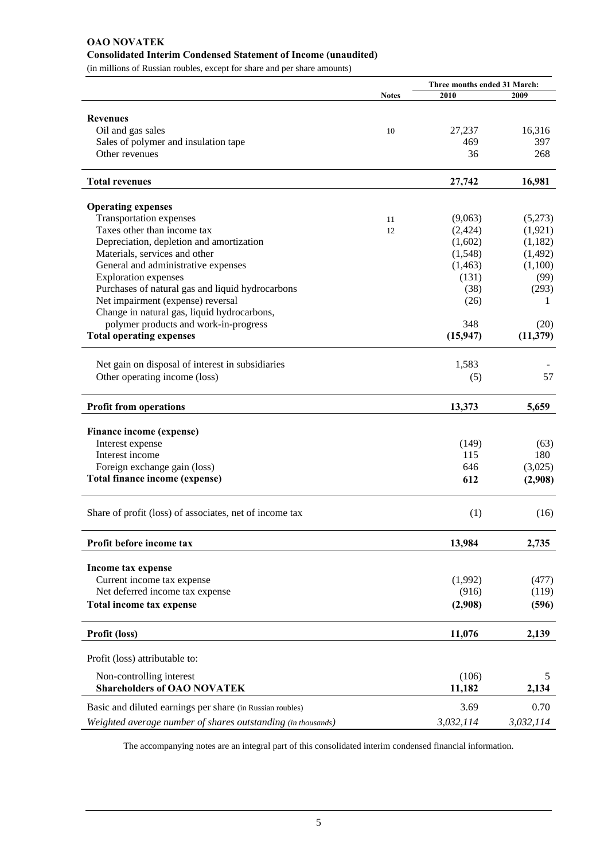#### **OAO NOVATEK Consolidated Interim Condensed Statement of Income (unaudited)**

(in millions of Russian roubles, except for share and per share amounts)

|                                                              |              | Three months ended 31 March: |           |
|--------------------------------------------------------------|--------------|------------------------------|-----------|
|                                                              | <b>Notes</b> | 2010                         | 2009      |
| <b>Revenues</b>                                              |              |                              |           |
| Oil and gas sales                                            | 10           | 27,237                       | 16,316    |
| Sales of polymer and insulation tape                         |              | 469                          | 397       |
| Other revenues                                               |              | 36                           | 268       |
|                                                              |              |                              |           |
| <b>Total revenues</b>                                        |              | 27,742                       | 16,981    |
| <b>Operating expenses</b>                                    |              |                              |           |
| <b>Transportation expenses</b>                               | 11           | (9,063)                      | (5,273)   |
| Taxes other than income tax                                  | 12           | (2, 424)                     | (1,921)   |
| Depreciation, depletion and amortization                     |              | (1,602)                      | (1,182)   |
| Materials, services and other                                |              | (1,548)                      | (1, 492)  |
| General and administrative expenses                          |              | (1, 463)                     | (1,100)   |
| <b>Exploration</b> expenses                                  |              | (131)                        | (99)      |
| Purchases of natural gas and liquid hydrocarbons             |              | (38)                         | (293)     |
| Net impairment (expense) reversal                            |              | (26)                         | 1         |
| Change in natural gas, liquid hydrocarbons,                  |              |                              |           |
| polymer products and work-in-progress                        |              | 348                          | (20)      |
| <b>Total operating expenses</b>                              |              | (15, 947)                    | (11, 379) |
|                                                              |              |                              |           |
| Net gain on disposal of interest in subsidiaries             |              | 1,583                        |           |
| Other operating income (loss)                                |              | (5)                          | 57        |
|                                                              |              |                              |           |
| <b>Profit from operations</b>                                |              | 13,373                       | 5,659     |
| Finance income (expense)                                     |              |                              |           |
| Interest expense                                             |              | (149)                        | (63)      |
| Interest income                                              |              | 115                          | 180       |
| Foreign exchange gain (loss)                                 |              | 646                          | (3,025)   |
| Total finance income (expense)                               |              | 612                          | (2,908)   |
|                                                              |              |                              |           |
| Share of profit (loss) of associates, net of income tax      |              | (1)                          | (16)      |
|                                                              |              |                              |           |
| Profit before income tax                                     |              | 13,984                       | 2,735     |
| Income tax expense                                           |              |                              |           |
| Current income tax expense                                   |              | (1,992)                      | (477)     |
| Net deferred income tax expense                              |              | (916)                        | (119)     |
| Total income tax expense                                     |              | (2,908)                      | (596)     |
| Profit (loss)                                                |              | 11,076                       | 2,139     |
|                                                              |              |                              |           |
| Profit (loss) attributable to:                               |              |                              |           |
| Non-controlling interest                                     |              | (106)                        | 5         |
| <b>Shareholders of OAO NOVATEK</b>                           |              | 11,182                       | 2,134     |
|                                                              |              |                              |           |
| Basic and diluted earnings per share (in Russian roubles)    |              | 3.69                         | 0.70      |
| Weighted average number of shares outstanding (in thousands) |              | 3,032,114                    | 3,032,114 |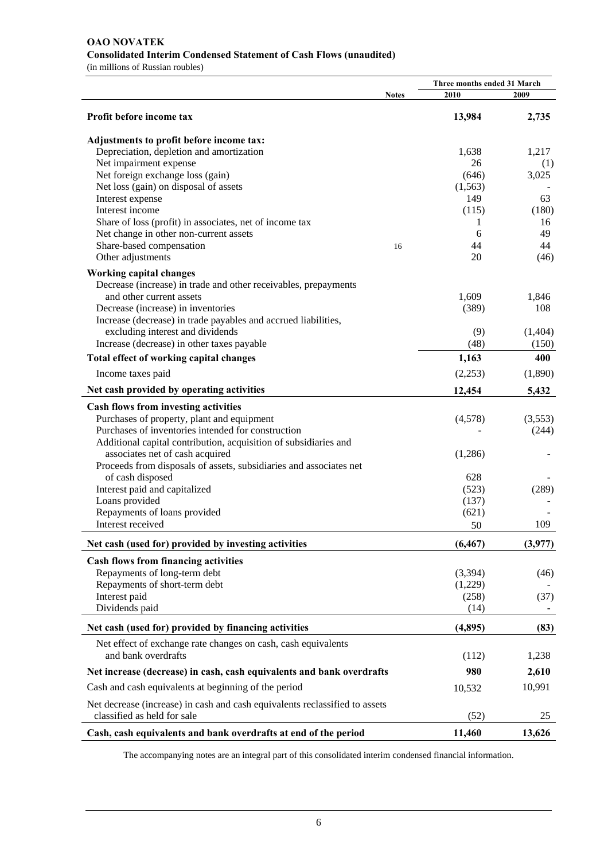#### **OAO NOVATEK Consolidated Interim Condensed Statement of Cash Flows (unaudited)**

(in millions of Russian roubles)

|                                                                             |              | Three months ended 31 March |         |  |
|-----------------------------------------------------------------------------|--------------|-----------------------------|---------|--|
|                                                                             | <b>Notes</b> | 2010                        | 2009    |  |
| Profit before income tax                                                    |              | 13,984                      | 2,735   |  |
| Adjustments to profit before income tax:                                    |              |                             |         |  |
| Depreciation, depletion and amortization                                    |              | 1,638                       | 1,217   |  |
| Net impairment expense                                                      |              | 26                          | (1)     |  |
| Net foreign exchange loss (gain)                                            |              | (646)                       | 3,025   |  |
| Net loss (gain) on disposal of assets                                       |              | (1,563)                     |         |  |
| Interest expense                                                            |              | 149                         | 63      |  |
| Interest income                                                             |              | (115)                       | (180)   |  |
| Share of loss (profit) in associates, net of income tax                     |              | 1                           | 16      |  |
| Net change in other non-current assets                                      |              | 6                           | 49      |  |
| Share-based compensation                                                    |              | 44                          | 44      |  |
|                                                                             | 16           | 20                          |         |  |
| Other adjustments                                                           |              |                             | (46)    |  |
| <b>Working capital changes</b>                                              |              |                             |         |  |
| Decrease (increase) in trade and other receivables, prepayments             |              |                             |         |  |
| and other current assets                                                    |              | 1,609                       | 1,846   |  |
| Decrease (increase) in inventories                                          |              | (389)                       | 108     |  |
| Increase (decrease) in trade payables and accrued liabilities,              |              |                             |         |  |
| excluding interest and dividends                                            |              | (9)                         | (1,404) |  |
| Increase (decrease) in other taxes payable                                  |              | (48)                        | (150)   |  |
| Total effect of working capital changes                                     |              | 1,163                       | 400     |  |
| Income taxes paid                                                           |              | (2,253)                     | (1,890) |  |
| Net cash provided by operating activities                                   |              | 12,454                      | 5,432   |  |
| <b>Cash flows from investing activities</b>                                 |              |                             |         |  |
| Purchases of property, plant and equipment                                  |              | (4,578)                     | (3,553) |  |
| Purchases of inventories intended for construction                          |              |                             | (244)   |  |
| Additional capital contribution, acquisition of subsidiaries and            |              |                             |         |  |
| associates net of cash acquired                                             |              | (1,286)                     |         |  |
| Proceeds from disposals of assets, subsidiaries and associates net          |              |                             |         |  |
| of cash disposed                                                            |              | 628                         |         |  |
| Interest paid and capitalized                                               |              | (523)                       | (289)   |  |
| Loans provided                                                              |              | (137)                       |         |  |
| Repayments of loans provided                                                |              | (621)                       |         |  |
| Interest received                                                           |              | 50                          | 109     |  |
|                                                                             |              |                             |         |  |
| Net cash (used for) provided by investing activities                        |              | (6, 467)                    | (3,977) |  |
| <b>Cash flows from financing activities</b>                                 |              |                             |         |  |
| Repayments of long-term debt                                                |              | (3,394)                     | (46)    |  |
| Repayments of short-term debt                                               |              | (1,229)                     |         |  |
| Interest paid                                                               |              | (258)                       | (37)    |  |
| Dividends paid                                                              |              | (14)                        |         |  |
| Net cash (used for) provided by financing activities                        |              | (4,895)                     | (83)    |  |
| Net effect of exchange rate changes on cash, cash equivalents               |              |                             |         |  |
| and bank overdrafts                                                         |              | (112)                       | 1,238   |  |
| Net increase (decrease) in cash, cash equivalents and bank overdrafts       |              | 980                         | 2,610   |  |
| Cash and cash equivalents at beginning of the period                        |              | 10,532                      | 10,991  |  |
| Net decrease (increase) in cash and cash equivalents reclassified to assets |              |                             |         |  |
| classified as held for sale                                                 |              | (52)                        | 25      |  |
| Cash, cash equivalents and bank overdrafts at end of the period             |              | 11,460                      | 13,626  |  |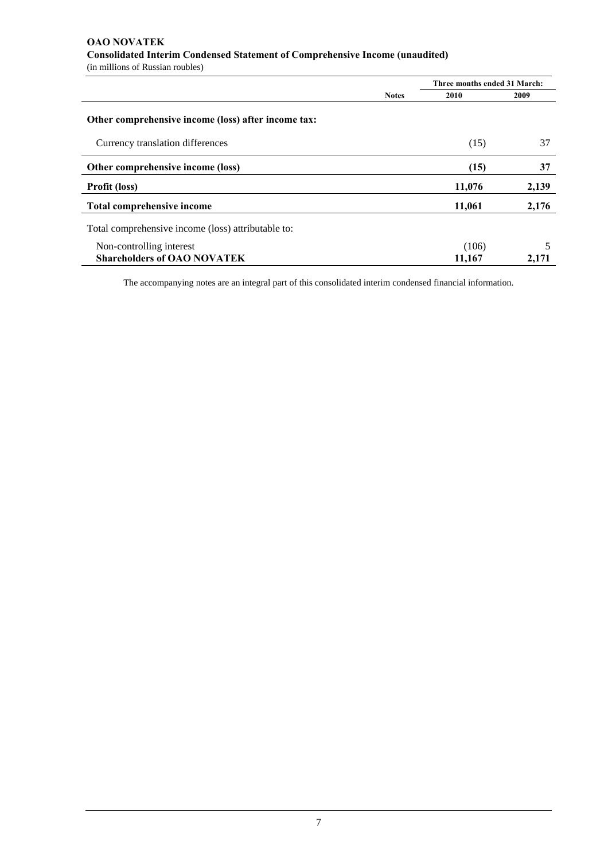#### **OAO NOVATEK Consolidated Interim Condensed Statement of Comprehensive Income (unaudited)**  (in millions of Russian roubles)

 **Three months ended 31 March: Notes** 2010 2009 **Other comprehensive income (loss) after income tax:** Currency translation differences (15) 37 Other comprehensive income (loss) 37 **Profit (loss)** 11,076 2,139 Total comprehensive income 2,176 **11,061** 2,176 Total comprehensive income (loss) attributable to: Non-controlling interest (106) 5 **Shareholders of OAO NOVATEK 11,167** 2,171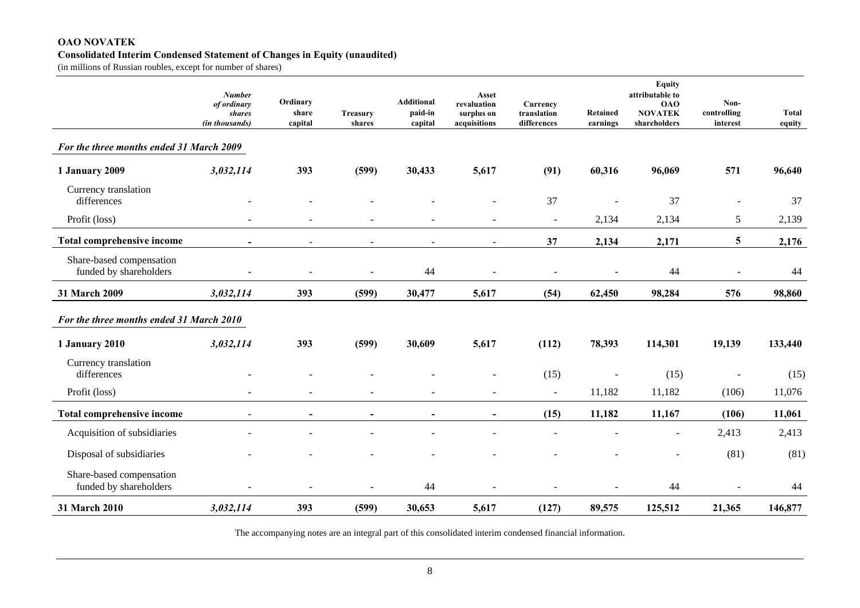#### **OAO NOVATEK Consolidated Interim Condensed Statement of Changes in Equity (unaudited)**

(in millions of Russian roubles, except for number of shares)

|                                                    | <b>Number</b><br>of ordinary<br>shares<br>(in thousands) | Ordinary<br>share<br>capital | <b>Treasury</b><br>shares | <b>Additional</b><br>paid-in<br>capital | Asset<br>revaluation<br>surplus on<br>acquisitions | Currency<br>translation<br>differences | Retained<br>earnings | <b>Equity</b><br>attributable to<br><b>OAO</b><br><b>NOVATEK</b><br>shareholders | Non-<br>controlling<br>interest | <b>Total</b><br>equity |
|----------------------------------------------------|----------------------------------------------------------|------------------------------|---------------------------|-----------------------------------------|----------------------------------------------------|----------------------------------------|----------------------|----------------------------------------------------------------------------------|---------------------------------|------------------------|
| For the three months ended 31 March 2009           |                                                          |                              |                           |                                         |                                                    |                                        |                      |                                                                                  |                                 |                        |
| 1 January 2009                                     | 3,032,114                                                | 393                          | (599)                     | 30,433                                  | 5,617                                              | (91)                                   | 60,316               | 96,069                                                                           | 571                             | 96,640                 |
| Currency translation<br>differences                |                                                          |                              |                           |                                         |                                                    | 37                                     |                      | 37                                                                               | $\blacksquare$                  | 37                     |
| Profit (loss)                                      |                                                          |                              |                           |                                         |                                                    | $\sim$                                 | 2,134                | 2,134                                                                            | 5                               | 2,139                  |
| Total comprehensive income                         |                                                          |                              | $\sim$                    |                                         |                                                    | 37                                     | 2,134                | 2,171                                                                            | 5                               | 2,176                  |
| Share-based compensation<br>funded by shareholders |                                                          |                              |                           | 44                                      |                                                    |                                        | $\sim$               | 44                                                                               | $\ddot{\phantom{1}}$            | 44                     |
| 31 March 2009                                      | 3,032,114                                                | 393                          | (599)                     | 30,477                                  | 5,617                                              | (54)                                   | 62,450               | 98,284                                                                           | 576                             | 98,860                 |
| For the three months ended 31 March 2010           |                                                          |                              |                           |                                         |                                                    |                                        |                      |                                                                                  |                                 |                        |
| 1 January 2010                                     | 3,032,114                                                | 393                          | (599)                     | 30,609                                  | 5,617                                              | (112)                                  | 78,393               | 114,301                                                                          | 19,139                          | 133,440                |
| Currency translation<br>differences                |                                                          |                              |                           |                                         |                                                    | (15)                                   |                      | (15)                                                                             |                                 | (15)                   |
| Profit (loss)                                      |                                                          |                              | $\overline{\phantom{a}}$  | $\overline{a}$                          |                                                    | $\blacksquare$                         | 11,182               | 11,182                                                                           | (106)                           | 11,076                 |
| Total comprehensive income                         | $\overline{\phantom{a}}$                                 | $\overline{\phantom{a}}$     | $\overline{\phantom{a}}$  | $\overline{\phantom{a}}$                | $\blacksquare$                                     | (15)                                   | 11,182               | 11,167                                                                           | (106)                           | 11,061                 |
| Acquisition of subsidiaries                        |                                                          |                              |                           |                                         |                                                    |                                        |                      | $\overline{a}$                                                                   | 2,413                           | 2,413                  |
| Disposal of subsidiaries                           |                                                          |                              |                           |                                         |                                                    |                                        |                      |                                                                                  | (81)                            | (81)                   |
| Share-based compensation<br>funded by shareholders |                                                          |                              |                           | 44                                      |                                                    |                                        |                      | 44                                                                               |                                 | 44                     |
| 31 March 2010                                      | 3,032,114                                                | 393                          | (599)                     | 30,653                                  | 5,617                                              | (127)                                  | 89,575               | 125,512                                                                          | 21,365                          | 146,877                |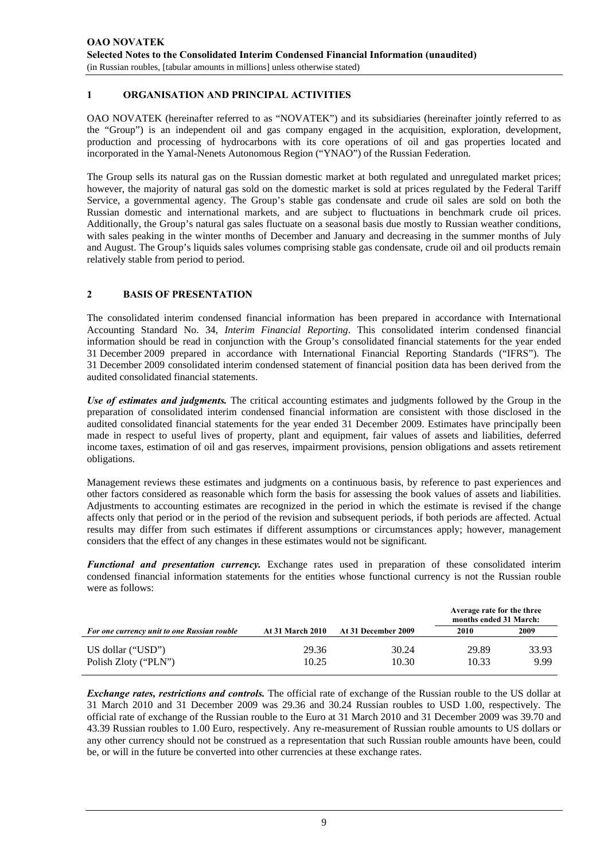#### **1 ORGANISATION AND PRINCIPAL ACTIVITIES**

OAO NOVATEK (hereinafter referred to as "NOVATEK") and its subsidiaries (hereinafter jointly referred to as the "Group") is an independent oil and gas company engaged in the acquisition, exploration, development, production and processing of hydrocarbons with its core operations of oil and gas properties located and incorporated in the Yamal-Nenets Autonomous Region ("YNAO") of the Russian Federation.

The Group sells its natural gas on the Russian domestic market at both regulated and unregulated market prices; however, the majority of natural gas sold on the domestic market is sold at prices regulated by the Federal Tariff Service, a governmental agency. The Group's stable gas condensate and crude oil sales are sold on both the Russian domestic and international markets, and are subject to fluctuations in benchmark crude oil prices. Additionally, the Group's natural gas sales fluctuate on a seasonal basis due mostly to Russian weather conditions, with sales peaking in the winter months of December and January and decreasing in the summer months of July and August. The Group's liquids sales volumes comprising stable gas condensate, crude oil and oil products remain relatively stable from period to period.

#### **2 BASIS OF PRESENTATION**

The consolidated interim condensed financial information has been prepared in accordance with International Accounting Standard No. 34, *Interim Financial Reporting*. This consolidated interim condensed financial information should be read in conjunction with the Group's consolidated financial statements for the year ended 31 December 2009 prepared in accordance with International Financial Reporting Standards ("IFRS"). The 31 December 2009 consolidated interim condensed statement of financial position data has been derived from the audited consolidated financial statements.

*Use of estimates and judgments.* The critical accounting estimates and judgments followed by the Group in the preparation of consolidated interim condensed financial information are consistent with those disclosed in the audited consolidated financial statements for the year ended 31 December 2009. Estimates have principally been made in respect to useful lives of property, plant and equipment, fair values of assets and liabilities, deferred income taxes, estimation of oil and gas reserves, impairment provisions, pension obligations and assets retirement obligations.

Management reviews these estimates and judgments on a continuous basis, by reference to past experiences and other factors considered as reasonable which form the basis for assessing the book values of assets and liabilities. Adjustments to accounting estimates are recognized in the period in which the estimate is revised if the change affects only that period or in the period of the revision and subsequent periods, if both periods are affected. Actual results may differ from such estimates if different assumptions or circumstances apply; however, management considers that the effect of any changes in these estimates would not be significant.

*Functional and presentation currency.* Exchange rates used in preparation of these consolidated interim condensed financial information statements for the entities whose functional currency is not the Russian rouble were as follows:

|                                                    |                         |                     | Average rate for the three<br>months ended 31 March: |               |
|----------------------------------------------------|-------------------------|---------------------|------------------------------------------------------|---------------|
| <b>For one currency unit to one Russian rouble</b> | <b>At 31 March 2010</b> | At 31 December 2009 | 2010                                                 | 2009          |
| US dollar ("USD")<br>Polish Zloty ("PLN")          | 29.36<br>10.25          | 30.24<br>10.30      | 29.89<br>10.33                                       | 33.93<br>9.99 |

*Exchange rates, restrictions and controls.* The official rate of exchange of the Russian rouble to the US dollar at 31 March 2010 and 31 December 2009 was 29.36 and 30.24 Russian roubles to USD 1.00, respectively. The official rate of exchange of the Russian rouble to the Euro at 31 March 2010 and 31 December 2009 was 39.70 and 43.39 Russian roubles to 1.00 Euro, respectively. Any re-measurement of Russian rouble amounts to US dollars or any other currency should not be construed as a representation that such Russian rouble amounts have been, could be, or will in the future be converted into other currencies at these exchange rates.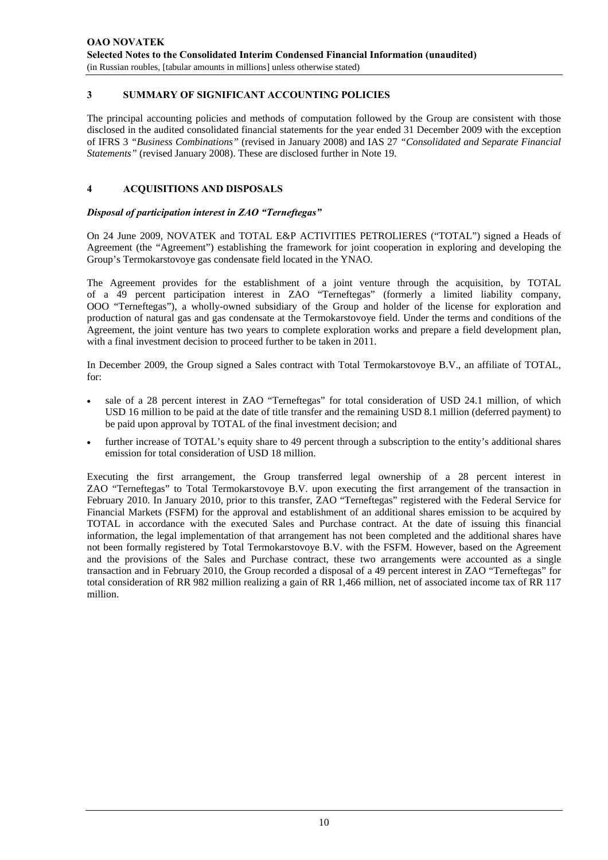#### **3 SUMMARY OF SIGNIFICANT ACCOUNTING POLICIES**

The principal accounting policies and methods of computation followed by the Group are consistent with those disclosed in the audited consolidated financial statements for the year ended 31 December 2009 with the exception of IFRS 3 *"Business Combinations"* (revised in January 2008) and IAS 27 *"Consolidated and Separate Financial Statements"* (revised January 2008). These are disclosed further in Note 19.

#### **4 ACQUISITIONS AND DISPOSALS**

#### *Disposal of participation interest in ZAO "Terneftegas"*

On 24 June 2009, NOVATEK and TOTAL E&P ACTIVITIES PETROLIERES ("TOTAL") signed a Heads of Agreement (the "Agreement") establishing the framework for joint cooperation in exploring and developing the Group's Termokarstovoye gas condensate field located in the YNAO.

The Agreement provides for the establishment of a joint venture through the acquisition, by TOTAL of a 49 percent participation interest in ZAO "Terneftegas" (formerly a limited liability company, OOO "Terneftegas"), a wholly-owned subsidiary of the Group and holder of the license for exploration and production of natural gas and gas condensate at the Termokarstovoye field. Under the terms and conditions of the Agreement, the joint venture has two years to complete exploration works and prepare a field development plan, with a final investment decision to proceed further to be taken in 2011.

In December 2009, the Group signed a Sales contract with Total Termokarstovoye B.V., an affiliate of TOTAL, for:

- sale of a 28 percent interest in ZAO "Terneftegas" for total consideration of USD 24.1 million, of which USD 16 million to be paid at the date of title transfer and the remaining USD 8.1 million (deferred payment) to be paid upon approval by TOTAL of the final investment decision; and
- further increase of TOTAL's equity share to 49 percent through a subscription to the entity's additional shares emission for total consideration of USD 18 million.

Executing the first arrangement, the Group transferred legal ownership of a 28 percent interest in ZAO "Terneftegas" to Total Termokarstovoye B.V. upon executing the first arrangement of the transaction in February 2010. In January 2010, prior to this transfer, ZAO "Terneftegas" registered with the Federal Service for Financial Markets (FSFM) for the approval and establishment of an additional shares emission to be acquired by TOTAL in accordance with the executed Sales and Purchase contract. At the date of issuing this financial information, the legal implementation of that arrangement has not been completed and the additional shares have not been formally registered by Total Termokarstovoye B.V. with the FSFM. However, based on the Agreement and the provisions of the Sales and Purchase contract, these two arrangements were accounted as a single transaction and in February 2010, the Group recorded a disposal of a 49 percent interest in ZAO "Terneftegas" for total consideration of RR 982 million realizing a gain of RR 1,466 million, net of associated income tax of RR 117 million.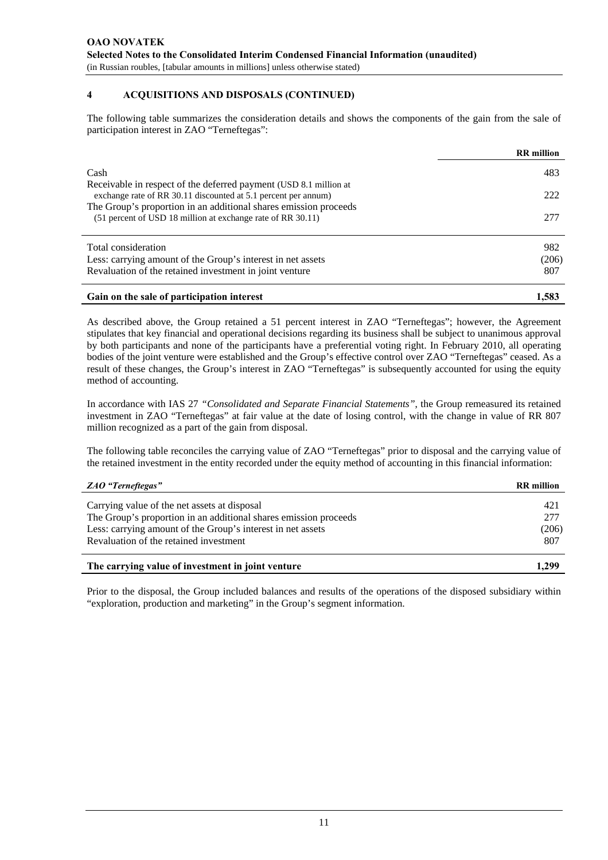#### **4 ACQUISITIONS AND DISPOSALS (CONTINUED)**

The following table summarizes the consideration details and shows the components of the gain from the sale of participation interest in ZAO "Terneftegas":

|                                                                                                                                     | <b>RR</b> million |
|-------------------------------------------------------------------------------------------------------------------------------------|-------------------|
| Cash                                                                                                                                | 483               |
| Receivable in respect of the deferred payment (USD 8.1 million at<br>exchange rate of RR 30.11 discounted at 5.1 percent per annum) | 222               |
| The Group's proportion in an additional shares emission proceeds<br>(51 percent of USD 18 million at exchange rate of RR 30.11)     | 277               |
| Total consideration                                                                                                                 | 982               |
| Less: carrying amount of the Group's interest in net assets                                                                         | (206)             |
| Revaluation of the retained investment in joint venture                                                                             | 807               |
| Gain on the sale of participation interest                                                                                          | 1,583             |

As described above, the Group retained a 51 percent interest in ZAO "Terneftegas"; however, the Agreement stipulates that key financial and operational decisions regarding its business shall be subject to unanimous approval by both participants and none of the participants have a preferential voting right. In February 2010, all operating bodies of the joint venture were established and the Group's effective control over ZAO "Terneftegas" ceased. As a result of these changes, the Group's interest in ZAO "Terneftegas" is subsequently accounted for using the equity method of accounting.

In accordance with IAS 27 *"Consolidated and Separate Financial Statements"*, the Group remeasured its retained investment in ZAO "Terneftegas" at fair value at the date of losing control, with the change in value of RR 807 million recognized as a part of the gain from disposal.

The following table reconciles the carrying value of ZAO "Terneftegas" prior to disposal and the carrying value of the retained investment in the entity recorded under the equity method of accounting in this financial information:

| ZAO "Terneftegas"                                                | <b>RR</b> million |
|------------------------------------------------------------------|-------------------|
| Carrying value of the net assets at disposal                     | 421               |
| The Group's proportion in an additional shares emission proceeds | 277               |
| Less: carrying amount of the Group's interest in net assets      | (206)             |
| Revaluation of the retained investment                           | 807               |
| The carrying value of investment in joint venture                | 1.299             |

Prior to the disposal, the Group included balances and results of the operations of the disposed subsidiary within "exploration, production and marketing" in the Group's segment information.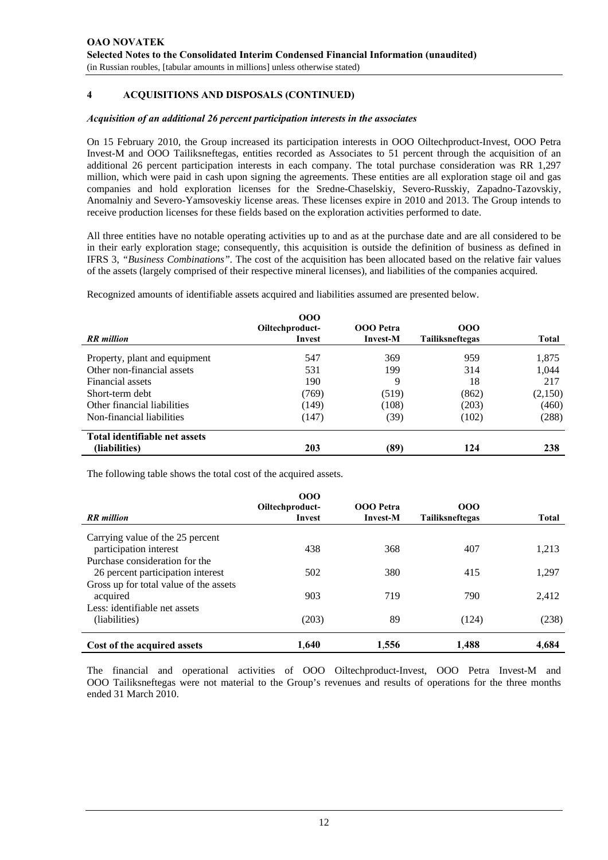#### **4 ACQUISITIONS AND DISPOSALS (CONTINUED)**

#### *Acquisition of an additional 26 percent participation interests in the associates*

On 15 February 2010, the Group increased its participation interests in OOO Oiltechproduct-Invest, OOO Petra Invest-M and OOO Tailiksneftegas, entities recorded as Associates to 51 percent through the acquisition of an additional 26 percent participation interests in each company. The total purchase consideration was RR 1,297 million, which were paid in cash upon signing the agreements. These entities are all exploration stage oil and gas companies and hold exploration licenses for the Sredne-Chaselskiy, Severo-Russkiy, Zapadno-Tazovskiy, Anomalniy and Severo-Yamsoveskiy license areas. These licenses expire in 2010 and 2013. The Group intends to receive production licenses for these fields based on the exploration activities performed to date.

All three entities have no notable operating activities up to and as at the purchase date and are all considered to be in their early exploration stage; consequently, this acquisition is outside the definition of business as defined in IFRS 3, *"Business Combinations".* The cost of the acquisition has been allocated based on the relative fair values of the assets (largely comprised of their respective mineral licenses), and liabilities of the companies acquired.

Recognized amounts of identifiable assets acquired and liabilities assumed are presented below.

|                               | 000<br>Oiltechproduct- | OOO Petra       | 000                    |         |
|-------------------------------|------------------------|-----------------|------------------------|---------|
| <b>RR</b> million             | Invest                 | <b>Invest-M</b> | <b>Tailiksneftegas</b> | Total   |
| Property, plant and equipment | 547                    | 369             | 959                    | 1,875   |
| Other non-financial assets    | 531                    | 199             | 314                    | 1,044   |
| Financial assets              | 190                    | 9               | 18                     | 217     |
| Short-term debt               | (769)                  | (519)           | (862)                  | (2,150) |
| Other financial liabilities   | (149)                  | (108)           | (203)                  | (460)   |
| Non-financial liabilities     | (147)                  | (39)            | (102)                  | (288)   |
| Total identifiable net assets |                        |                 |                        |         |
| (liabilities)                 | 203                    | (89)            | 124                    | 238     |

The following table shows the total cost of the acquired assets.

|                                        | 000<br>Oiltechproduct- | <b>OOO</b> Petra | 000                    |              |
|----------------------------------------|------------------------|------------------|------------------------|--------------|
| <b>RR</b> million                      | Invest                 | <b>Invest-M</b>  | <b>Tailiksneftegas</b> | <b>Total</b> |
| Carrying value of the 25 percent       |                        |                  |                        |              |
| participation interest                 | 438                    | 368              | 407                    | 1,213        |
| Purchase consideration for the         |                        |                  |                        |              |
| 26 percent participation interest      | 502                    | 380              | 415                    | 1,297        |
| Gross up for total value of the assets |                        |                  |                        |              |
| acquired                               | 903                    | 719              | 790                    | 2,412        |
| Less: identifiable net assets          |                        |                  |                        |              |
| (liabilities)                          | (203)                  | 89               | (124)                  | (238)        |
| Cost of the acquired assets            | 1.640                  | 1,556            | 1.488                  | 4,684        |

The financial and operational activities of OOO Oiltechproduct-Invest, OOO Petra Invest-M and OOO Tailiksneftegas were not material to the Group's revenues and results of operations for the three months ended 31 March 2010.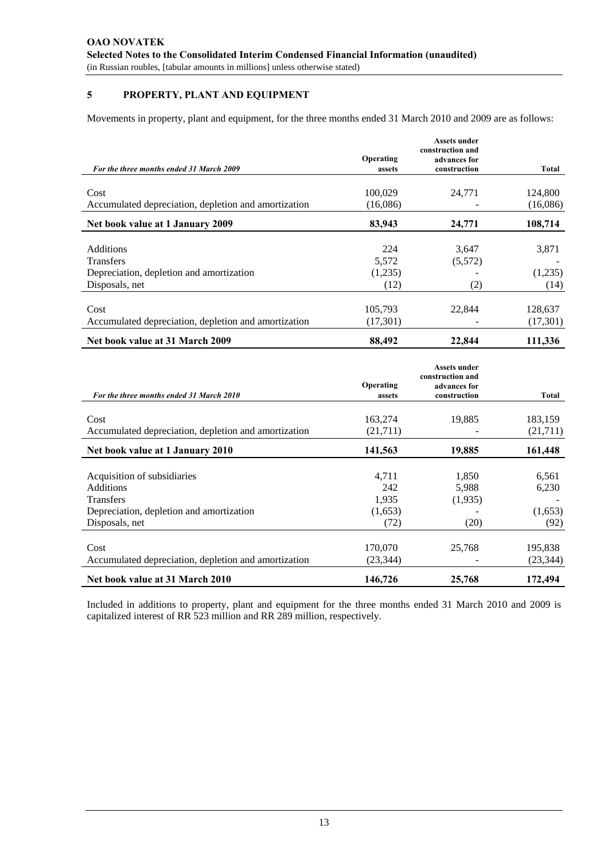#### **5 PROPERTY, PLANT AND EQUIPMENT**

Movements in property, plant and equipment, for the three months ended 31 March 2010 and 2009 are as follows:

|                                                      |           | <b>Assets under</b><br>construction and |          |
|------------------------------------------------------|-----------|-----------------------------------------|----------|
|                                                      | Operating | advances for                            |          |
| For the three months ended 31 March 2009             | assets    | construction                            | Total    |
|                                                      |           |                                         |          |
| Cost                                                 | 100,029   | 24.771                                  | 124,800  |
| Accumulated depreciation, depletion and amortization | (16,086)  |                                         | (16,086) |
| Net book value at 1 January 2009                     | 83,943    | 24,771                                  | 108,714  |
|                                                      |           |                                         |          |
| Additions                                            | 224       | 3,647                                   | 3,871    |
| <b>Transfers</b>                                     | 5,572     | (5,572)                                 |          |
| Depreciation, depletion and amortization             | (1,235)   |                                         | (1,235)  |
| Disposals, net                                       | (12)      | (2)                                     | (14)     |
|                                                      |           |                                         |          |
| Cost                                                 | 105,793   | 22,844                                  | 128,637  |
| Accumulated depreciation, depletion and amortization | (17,301)  |                                         | (17,301) |
| Net book value at 31 March 2009                      | 88,492    | 22,844                                  | 111,336  |

|                                                      | Operating | <b>Assets under</b><br>construction and |           |
|------------------------------------------------------|-----------|-----------------------------------------|-----------|
| For the three months ended 31 March 2010             | assets    | advances for<br>construction            | Total     |
| Cost                                                 | 163,274   | 19,885                                  | 183,159   |
| Accumulated depreciation, depletion and amortization | (21,711)  |                                         | (21,711)  |
| Net book value at 1 January 2010                     | 141,563   | 19,885                                  | 161,448   |
|                                                      |           |                                         |           |
| Acquisition of subsidiaries                          | 4,711     | 1,850                                   | 6,561     |
| <b>Additions</b>                                     | 242       | 5,988                                   | 6,230     |
| <b>Transfers</b>                                     | 1,935     | (1,935)                                 |           |
| Depreciation, depletion and amortization             | (1,653)   |                                         | (1,653)   |
| Disposals, net                                       | (72)      | (20)                                    | (92)      |
|                                                      |           |                                         |           |
| Cost                                                 | 170,070   | 25,768                                  | 195,838   |
| Accumulated depreciation, depletion and amortization | (23, 344) |                                         | (23, 344) |
| Net book value at 31 March 2010                      | 146,726   | 25,768                                  | 172,494   |

Included in additions to property, plant and equipment for the three months ended 31 March 2010 and 2009 is capitalized interest of RR 523 million and RR 289 million, respectively.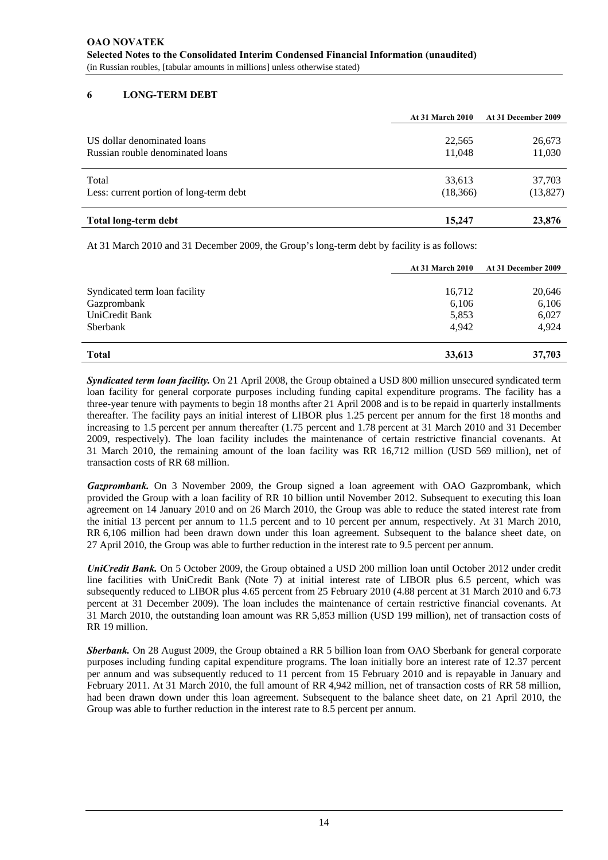#### **6 LONG-TERM DEBT**

|                                         | <b>At 31 March 2010</b> | At 31 December 2009 |
|-----------------------------------------|-------------------------|---------------------|
| US dollar denominated loans             | 22,565                  | 26,673              |
| Russian rouble denominated loans        | 11,048                  | 11,030              |
| Total                                   | 33,613                  | 37,703              |
| Less: current portion of long-term debt | (18,366)                | (13,827)            |
| Total long-term debt                    | 15,247                  | 23,876              |

At 31 March 2010 and 31 December 2009, the Group's long-term debt by facility is as follows:

|                               | <b>At 31 March 2010</b> | At 31 December 2009 |
|-------------------------------|-------------------------|---------------------|
| Syndicated term loan facility | 16,712                  | 20,646              |
| Gazprombank                   | 6,106                   | 6,106               |
| UniCredit Bank                | 5,853                   | 6,027               |
| Sberbank                      | 4,942                   | 4.924               |
| <b>Total</b>                  | 33,613                  | 37,703              |

*Syndicated term loan facility.* On 21 April 2008, the Group obtained a USD 800 million unsecured syndicated term loan facility for general corporate purposes including funding capital expenditure programs. The facility has a three-year tenure with payments to begin 18 months after 21 April 2008 and is to be repaid in quarterly installments thereafter. The facility pays an initial interest of LIBOR plus 1.25 percent per annum for the first 18 months and increasing to 1.5 percent per annum thereafter (1.75 percent and 1.78 percent at 31 March 2010 and 31 December 2009, respectively). The loan facility includes the maintenance of certain restrictive financial covenants. At 31 March 2010, the remaining amount of the loan facility was RR 16,712 million (USD 569 million), net of transaction costs of RR 68 million.

*Gazprombank.* On 3 November 2009, the Group signed a loan agreement with OAO Gazprombank, which provided the Group with a loan facility of RR 10 billion until November 2012. Subsequent to executing this loan agreement on 14 January 2010 and on 26 March 2010, the Group was able to reduce the stated interest rate from the initial 13 percent per annum to 11.5 percent and to 10 percent per annum, respectively. At 31 March 2010, RR 6,106 million had been drawn down under this loan agreement. Subsequent to the balance sheet date, on 27 April 2010, the Group was able to further reduction in the interest rate to 9.5 percent per annum.

*UniCredit Bank.* On 5 October 2009, the Group obtained a USD 200 million loan until October 2012 under credit line facilities with UniCredit Bank (Note 7) at initial interest rate of LIBOR plus 6.5 percent, which was subsequently reduced to LIBOR plus 4.65 percent from 25 February 2010 (4.88 percent at 31 March 2010 and 6.73 percent at 31 December 2009). The loan includes the maintenance of certain restrictive financial covenants. At 31 March 2010, the outstanding loan amount was RR 5,853 million (USD 199 million), net of transaction costs of RR 19 million.

*Sberbank.* On 28 August 2009, the Group obtained a RR 5 billion loan from OAO Sberbank for general corporate purposes including funding capital expenditure programs. The loan initially bore an interest rate of 12.37 percent per annum and was subsequently reduced to 11 percent from 15 February 2010 and is repayable in January and February 2011. At 31 March 2010, the full amount of RR 4,942 million, net of transaction costs of RR 58 million, had been drawn down under this loan agreement. Subsequent to the balance sheet date, on 21 April 2010, the Group was able to further reduction in the interest rate to 8.5 percent per annum.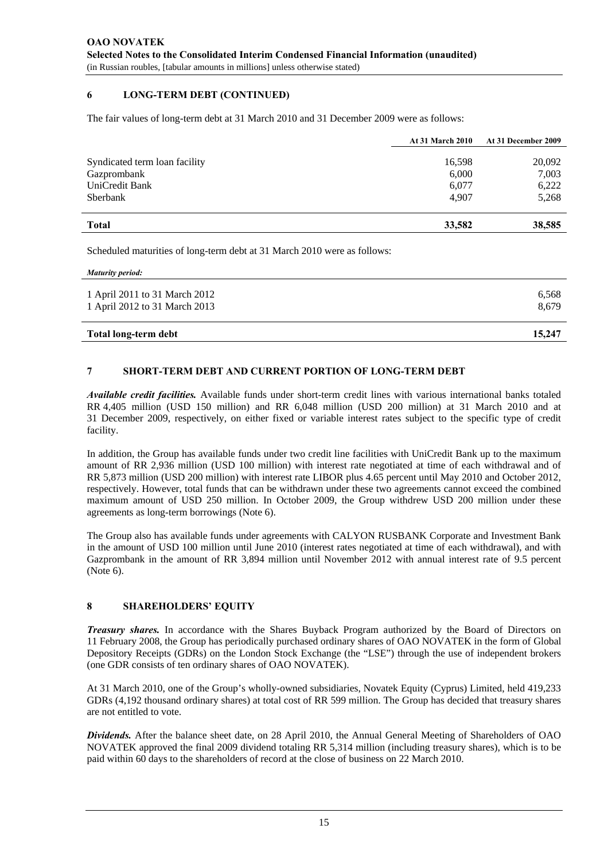#### **6 LONG-TERM DEBT (CONTINUED)**

The fair values of long-term debt at 31 March 2010 and 31 December 2009 were as follows:

|                               | <b>At 31 March 2010</b> | At 31 December 2009 |
|-------------------------------|-------------------------|---------------------|
| Syndicated term loan facility | 16,598                  | 20,092              |
| Gazprombank                   | 6,000                   | 7,003               |
| UniCredit Bank                | 6,077                   | 6,222               |
| Sberbank                      | 4,907                   | 5,268               |
| <b>Total</b>                  | 33,582                  | 38,585              |

Scheduled maturities of long-term debt at 31 March 2010 were as follows:

*Maturity period:* 

| 15.247 |
|--------|
| 8.679  |
| 6.568  |
|        |

#### **7 SHORT-TERM DEBT AND CURRENT PORTION OF LONG-TERM DEBT**

*Available credit facilities.* Available funds under short-term credit lines with various international banks totaled RR 4,405 million (USD 150 million) and RR 6,048 million (USD 200 million) at 31 March 2010 and at 31 December 2009, respectively, on either fixed or variable interest rates subject to the specific type of credit facility.

In addition, the Group has available funds under two credit line facilities with UniCredit Bank up to the maximum amount of RR 2,936 million (USD 100 million) with interest rate negotiated at time of each withdrawal and of RR 5,873 million (USD 200 million) with interest rate LIBOR plus 4.65 percent until May 2010 and October 2012, respectively. However, total funds that can be withdrawn under these two agreements cannot exceed the combined maximum amount of USD 250 million. In October 2009, the Group withdrew USD 200 million under these agreements as long-term borrowings (Note 6).

The Group also has available funds under agreements with CALYON RUSBANK Corporate and Investment Bank in the amount of USD 100 million until June 2010 (interest rates negotiated at time of each withdrawal), and with Gazprombank in the amount of RR 3,894 million until November 2012 with annual interest rate of 9.5 percent (Note 6).

#### **8 SHAREHOLDERS' EQUITY**

*Treasury shares.* In accordance with the Shares Buyback Program authorized by the Board of Directors on 11 February 2008, the Group has periodically purchased ordinary shares of OAO NOVATEK in the form of Global Depository Receipts (GDRs) on the London Stock Exchange (the "LSE") through the use of independent brokers (one GDR consists of ten ordinary shares of OAO NOVATEK).

At 31 March 2010, one of the Group's wholly-owned subsidiaries, Novatek Equity (Cyprus) Limited, held 419,233 GDRs (4,192 thousand ordinary shares) at total cost of RR 599 million. The Group has decided that treasury shares are not entitled to vote.

*Dividends.* After the balance sheet date, on 28 April 2010, the Annual General Meeting of Shareholders of OAO NOVATEK approved the final 2009 dividend totaling RR 5,314 million (including treasury shares), which is to be paid within 60 days to the shareholders of record at the close of business on 22 March 2010.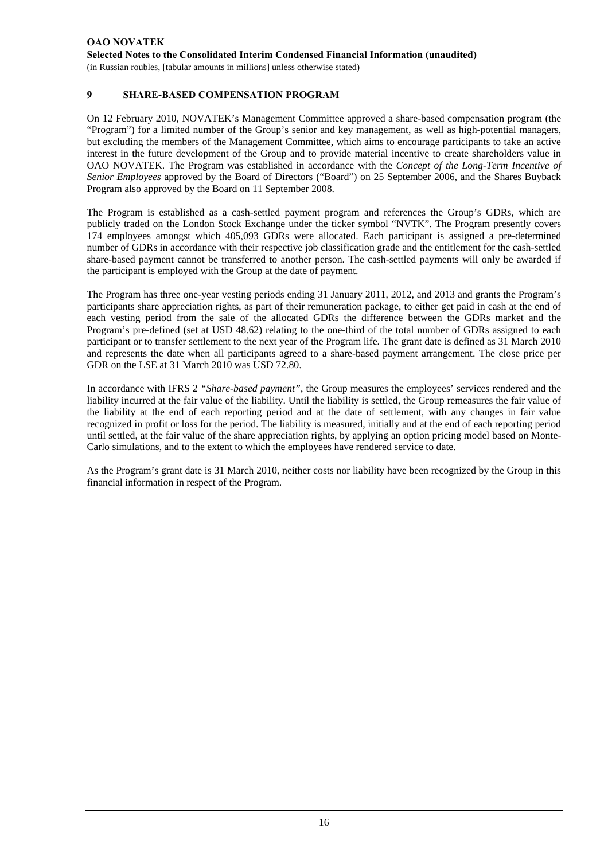#### **9 SHARE-BASED COMPENSATION PROGRAM**

On 12 February 2010, NOVATEK's Management Committee approved a share-based compensation program (the "Program") for a limited number of the Group's senior and key management, as well as high-potential managers, but excluding the members of the Management Committee, which aims to encourage participants to take an active interest in the future development of the Group and to provide material incentive to create shareholders value in OAO NOVATEK. The Program was established in accordance with the *Concept of the Long-Term Incentive of Senior Employees* approved by the Board of Directors ("Board") on 25 September 2006, and the Shares Buyback Program also approved by the Board on 11 September 2008.

The Program is established as a cash-settled payment program and references the Group's GDRs, which are publicly traded on the London Stock Exchange under the ticker symbol "NVTK". The Program presently covers 174 employees amongst which 405,093 GDRs were allocated. Each participant is assigned a pre-determined number of GDRs in accordance with their respective job classification grade and the entitlement for the cash-settled share-based payment cannot be transferred to another person. The cash-settled payments will only be awarded if the participant is employed with the Group at the date of payment.

The Program has three one-year vesting periods ending 31 January 2011, 2012, and 2013 and grants the Program's participants share appreciation rights, as part of their remuneration package, to either get paid in cash at the end of each vesting period from the sale of the allocated GDRs the difference between the GDRs market and the Program's pre-defined (set at USD 48.62) relating to the one-third of the total number of GDRs assigned to each participant or to transfer settlement to the next year of the Program life. The grant date is defined as 31 March 2010 and represents the date when all participants agreed to a share-based payment arrangement. The close price per GDR on the LSE at 31 March 2010 was USD 72.80.

In accordance with IFRS 2 *"Share-based payment"*, the Group measures the employees' services rendered and the liability incurred at the fair value of the liability. Until the liability is settled, the Group remeasures the fair value of the liability at the end of each reporting period and at the date of settlement, with any changes in fair value recognized in profit or loss for the period. The liability is measured, initially and at the end of each reporting period until settled, at the fair value of the share appreciation rights, by applying an option pricing model based on Monte-Carlo simulations, and to the extent to which the employees have rendered service to date.

As the Program's grant date is 31 March 2010, neither costs nor liability have been recognized by the Group in this financial information in respect of the Program.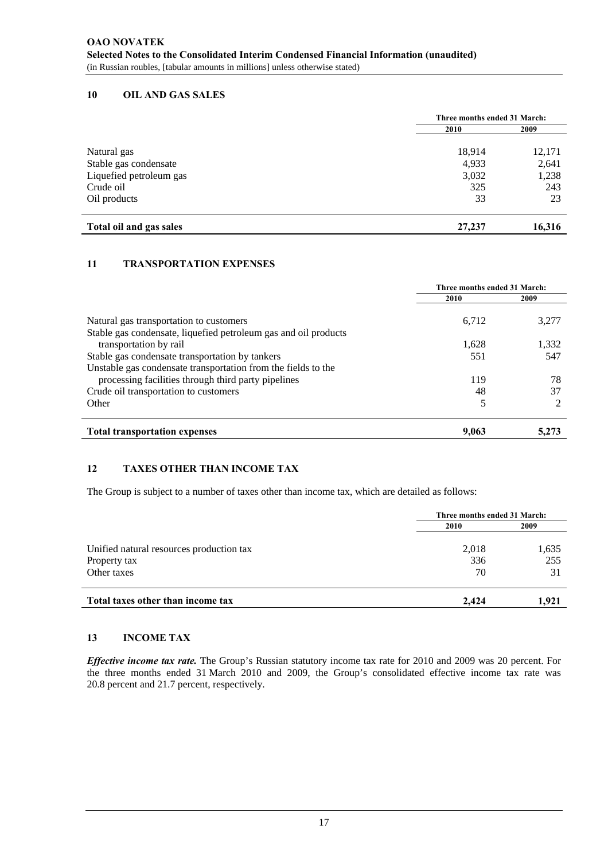#### **10 OIL AND GAS SALES**

|                         | Three months ended 31 March: |        |
|-------------------------|------------------------------|--------|
|                         | 2010                         | 2009   |
| Natural gas             | 18,914                       | 12,171 |
| Stable gas condensate   | 4,933                        | 2,641  |
| Liquefied petroleum gas | 3,032                        | 1,238  |
| Crude oil               | 325                          | 243    |
| Oil products            | 33                           | 23     |
| Total oil and gas sales | 27,237                       | 16,316 |

#### **11 TRANSPORTATION EXPENSES**

|                                                                                                            | Three months ended 31 March: |       |
|------------------------------------------------------------------------------------------------------------|------------------------------|-------|
|                                                                                                            | 2010                         | 2009  |
| Natural gas transportation to customers<br>Stable gas condensate, liquefied petroleum gas and oil products | 6,712                        | 3,277 |
| transportation by rail                                                                                     | 1.628                        | 1,332 |
| Stable gas condensate transportation by tankers                                                            | 551                          | 547   |
| Unstable gas condensate transportation from the fields to the                                              |                              |       |
| processing facilities through third party pipelines                                                        | 119                          | 78    |
| Crude oil transportation to customers                                                                      | 48                           | 37    |
| Other                                                                                                      | 5                            |       |
| <b>Total transportation expenses</b>                                                                       | 9.063                        | 5.273 |

#### **12 TAXES OTHER THAN INCOME TAX**

The Group is subject to a number of taxes other than income tax, which are detailed as follows:

|                                          | Three months ended 31 March: |       |  |
|------------------------------------------|------------------------------|-------|--|
|                                          | 2010                         | 2009  |  |
| Unified natural resources production tax | 2,018                        | 1,635 |  |
| Property tax                             | 336                          | 255   |  |
| Other taxes                              | 70                           | 31    |  |
| Total taxes other than income tax        | 2.424                        | 1.921 |  |

#### **13 INCOME TAX**

*Effective income tax rate.* The Group's Russian statutory income tax rate for 2010 and 2009 was 20 percent. For the three months ended 31 March 2010 and 2009, the Group's consolidated effective income tax rate was 20.8 percent and 21.7 percent, respectively.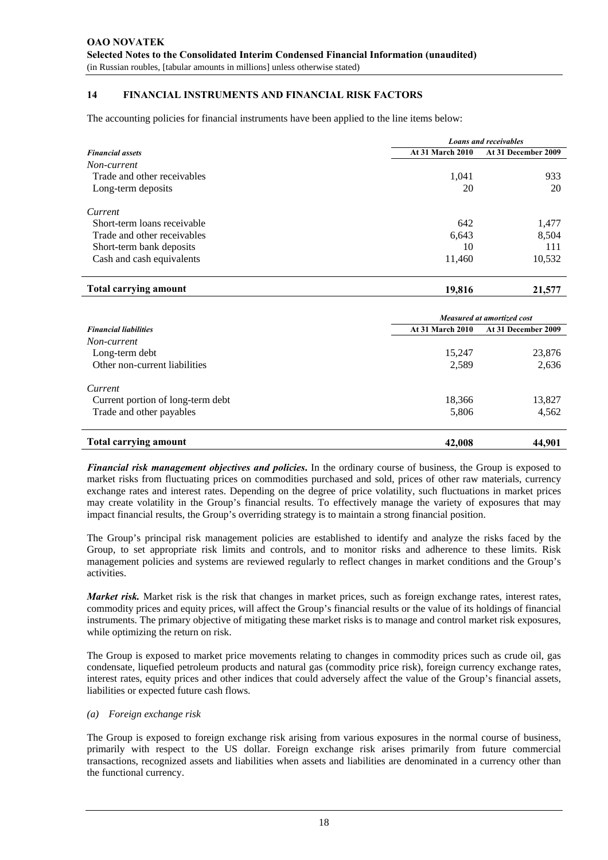#### **14 FINANCIAL INSTRUMENTS AND FINANCIAL RISK FACTORS**

The accounting policies for financial instruments have been applied to the line items below:

|                             | <b>Loans and receivables</b> |                     |  |
|-----------------------------|------------------------------|---------------------|--|
| <b>Financial assets</b>     | <b>At 31 March 2010</b>      | At 31 December 2009 |  |
| Non-current                 |                              |                     |  |
| Trade and other receivables | 1,041                        | 933                 |  |
| Long-term deposits          | 20                           | 20                  |  |
| Current                     |                              |                     |  |
| Short-term loans receivable | 642                          | 1,477               |  |
| Trade and other receivables | 6,643                        | 8,504               |  |
| Short-term bank deposits    | 10                           | 111                 |  |
| Cash and cash equivalents   | 11,460                       | 10,532              |  |

| <b>Total carrying amount</b> | 9.816<br>o | ---<br><b>41.3</b> |
|------------------------------|------------|--------------------|
|                              |            |                    |

|                                   | Measured at amortized cost |                     |  |
|-----------------------------------|----------------------------|---------------------|--|
| <b>Financial liabilities</b>      | <b>At 31 March 2010</b>    | At 31 December 2009 |  |
| Non-current                       |                            |                     |  |
| Long-term debt                    | 15,247                     | 23,876              |  |
| Other non-current liabilities     | 2,589                      | 2,636               |  |
| Current                           |                            |                     |  |
| Current portion of long-term debt | 18,366                     | 13,827              |  |
| Trade and other payables          | 5,806                      | 4,562               |  |
| <b>Total carrying amount</b>      | 42,008                     | 44.901              |  |

*Financial risk management objectives and policies***.** In the ordinary course of business, the Group is exposed to market risks from fluctuating prices on commodities purchased and sold, prices of other raw materials, currency exchange rates and interest rates. Depending on the degree of price volatility, such fluctuations in market prices may create volatility in the Group's financial results. To effectively manage the variety of exposures that may impact financial results, the Group's overriding strategy is to maintain a strong financial position.

The Group's principal risk management policies are established to identify and analyze the risks faced by the Group, to set appropriate risk limits and controls, and to monitor risks and adherence to these limits. Risk management policies and systems are reviewed regularly to reflect changes in market conditions and the Group's activities.

*Market risk.* Market risk is the risk that changes in market prices, such as foreign exchange rates, interest rates, commodity prices and equity prices, will affect the Group's financial results or the value of its holdings of financial instruments. The primary objective of mitigating these market risks is to manage and control market risk exposures, while optimizing the return on risk.

The Group is exposed to market price movements relating to changes in commodity prices such as crude oil, gas condensate, liquefied petroleum products and natural gas (commodity price risk), foreign currency exchange rates, interest rates, equity prices and other indices that could adversely affect the value of the Group's financial assets, liabilities or expected future cash flows.

#### *(a) Foreign exchange risk*

The Group is exposed to foreign exchange risk arising from various exposures in the normal course of business, primarily with respect to the US dollar. Foreign exchange risk arises primarily from future commercial transactions, recognized assets and liabilities when assets and liabilities are denominated in a currency other than the functional currency.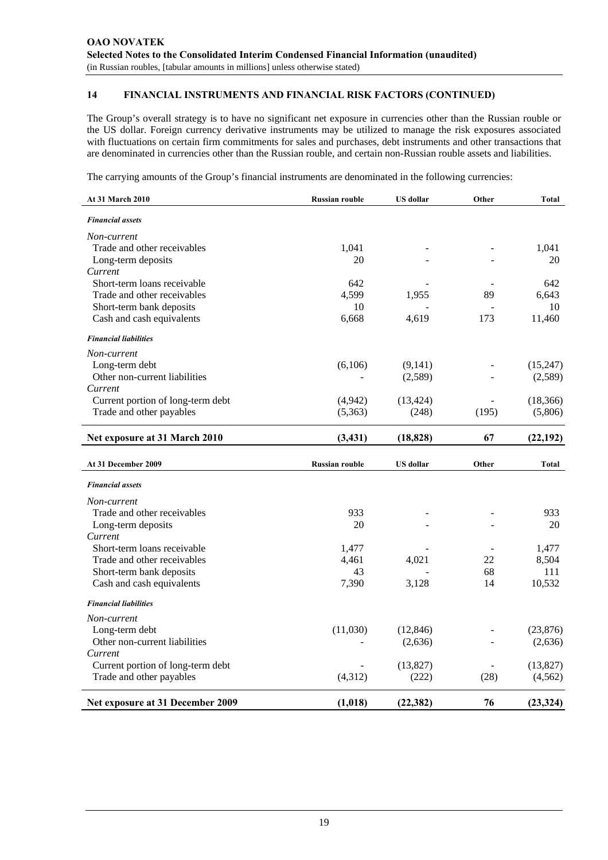The Group's overall strategy is to have no significant net exposure in currencies other than the Russian rouble or the US dollar. Foreign currency derivative instruments may be utilized to manage the risk exposures associated with fluctuations on certain firm commitments for sales and purchases, debt instruments and other transactions that are denominated in currencies other than the Russian rouble, and certain non-Russian rouble assets and liabilities.

The carrying amounts of the Group's financial instruments are denominated in the following currencies:

| At 31 March 2010                  | <b>Russian rouble</b> | <b>US</b> dollar | Other          | <b>Total</b> |
|-----------------------------------|-----------------------|------------------|----------------|--------------|
| <b>Financial assets</b>           |                       |                  |                |              |
| Non-current                       |                       |                  |                |              |
| Trade and other receivables       | 1,041                 |                  |                | 1,041        |
| Long-term deposits                | 20                    |                  |                | 20           |
| Current                           |                       |                  |                |              |
| Short-term loans receivable       | 642                   |                  |                | 642          |
| Trade and other receivables       | 4,599                 | 1,955            | 89             | 6,643        |
| Short-term bank deposits          | 10                    |                  | $\overline{a}$ | 10           |
| Cash and cash equivalents         | 6,668                 | 4,619            | 173            | 11,460       |
| <b>Financial liabilities</b>      |                       |                  |                |              |
| Non-current                       |                       |                  |                |              |
| Long-term debt                    | (6,106)               | (9,141)          |                | (15,247)     |
| Other non-current liabilities     |                       | (2,589)          |                | (2,589)      |
| Current                           |                       |                  |                |              |
| Current portion of long-term debt | (4,942)               | (13, 424)        |                | (18, 366)    |
| Trade and other payables          | (5,363)               | (248)            | (195)          | (5,806)      |
| Net exposure at 31 March 2010     | (3, 431)              | (18, 828)        | 67             | (22, 192)    |
|                                   |                       |                  |                |              |
|                                   |                       |                  |                |              |
| At 31 December 2009               | <b>Russian rouble</b> | <b>US</b> dollar | Other          | Total        |
| <b>Financial assets</b>           |                       |                  |                |              |
| Non-current                       |                       |                  |                |              |
| Trade and other receivables       | 933                   |                  |                | 933          |
| Long-term deposits                | 20                    |                  |                | 20           |
| Current                           |                       |                  |                |              |
| Short-term loans receivable       | 1,477                 |                  |                | 1,477        |
| Trade and other receivables       | 4,461                 | 4,021            | 22             | 8,504        |
| Short-term bank deposits          | 43                    |                  | 68             | 111          |
| Cash and cash equivalents         | 7,390                 | 3,128            | 14             | 10,532       |
| <b>Financial liabilities</b>      |                       |                  |                |              |
| Non-current                       |                       |                  |                |              |
| Long-term debt                    | (11,030)              | (12, 846)        |                | (23,876)     |
| Other non-current liabilities     |                       | (2,636)          |                | (2,636)      |
| Current                           |                       |                  |                |              |
| Current portion of long-term debt |                       | (13, 827)        |                | (13,827)     |
| Trade and other payables          | (4,312)               | (222)            | (28)           | (4, 562)     |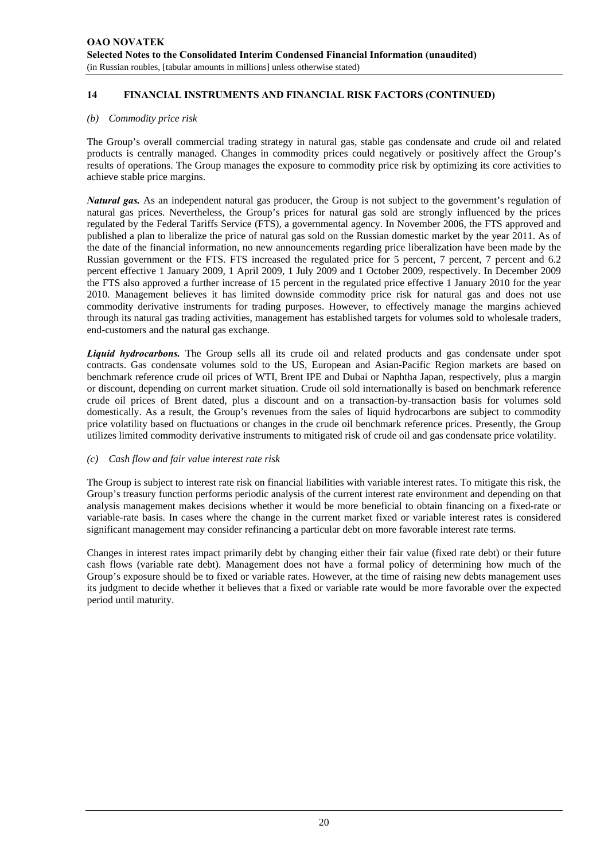#### *(b) Commodity price risk*

The Group's overall commercial trading strategy in natural gas, stable gas condensate and crude oil and related products is centrally managed. Changes in commodity prices could negatively or positively affect the Group's results of operations. The Group manages the exposure to commodity price risk by optimizing its core activities to achieve stable price margins.

*Natural gas.* As an independent natural gas producer, the Group is not subject to the government's regulation of natural gas prices. Nevertheless, the Group's prices for natural gas sold are strongly influenced by the prices regulated by the Federal Tariffs Service (FTS), a governmental agency. In November 2006, the FTS approved and published a plan to liberalize the price of natural gas sold on the Russian domestic market by the year 2011. As of the date of the financial information, no new announcements regarding price liberalization have been made by the Russian government or the FTS. FTS increased the regulated price for 5 percent, 7 percent, 7 percent and 6.2 percent effective 1 January 2009, 1 April 2009, 1 July 2009 and 1 October 2009, respectively. In December 2009 the FTS also approved a further increase of 15 percent in the regulated price effective 1 January 2010 for the year 2010. Management believes it has limited downside commodity price risk for natural gas and does not use commodity derivative instruments for trading purposes. However, to effectively manage the margins achieved through its natural gas trading activities, management has established targets for volumes sold to wholesale traders, end-customers and the natural gas exchange.

*Liquid hydrocarbons.* The Group sells all its crude oil and related products and gas condensate under spot contracts. Gas condensate volumes sold to the US, European and Asian-Pacific Region markets are based on benchmark reference crude oil prices of WTI, Brent IPE and Dubai or Naphtha Japan, respectively, plus a margin or discount, depending on current market situation. Crude oil sold internationally is based on benchmark reference crude oil prices of Brent dated, plus a discount and on a transaction-by-transaction basis for volumes sold domestically. As a result, the Group's revenues from the sales of liquid hydrocarbons are subject to commodity price volatility based on fluctuations or changes in the crude oil benchmark reference prices. Presently, the Group utilizes limited commodity derivative instruments to mitigated risk of crude oil and gas condensate price volatility.

#### *(c) Cash flow and fair value interest rate risk*

The Group is subject to interest rate risk on financial liabilities with variable interest rates. To mitigate this risk, the Group's treasury function performs periodic analysis of the current interest rate environment and depending on that analysis management makes decisions whether it would be more beneficial to obtain financing on a fixed-rate or variable-rate basis. In cases where the change in the current market fixed or variable interest rates is considered significant management may consider refinancing a particular debt on more favorable interest rate terms.

Changes in interest rates impact primarily debt by changing either their fair value (fixed rate debt) or their future cash flows (variable rate debt). Management does not have a formal policy of determining how much of the Group's exposure should be to fixed or variable rates. However, at the time of raising new debts management uses its judgment to decide whether it believes that a fixed or variable rate would be more favorable over the expected period until maturity.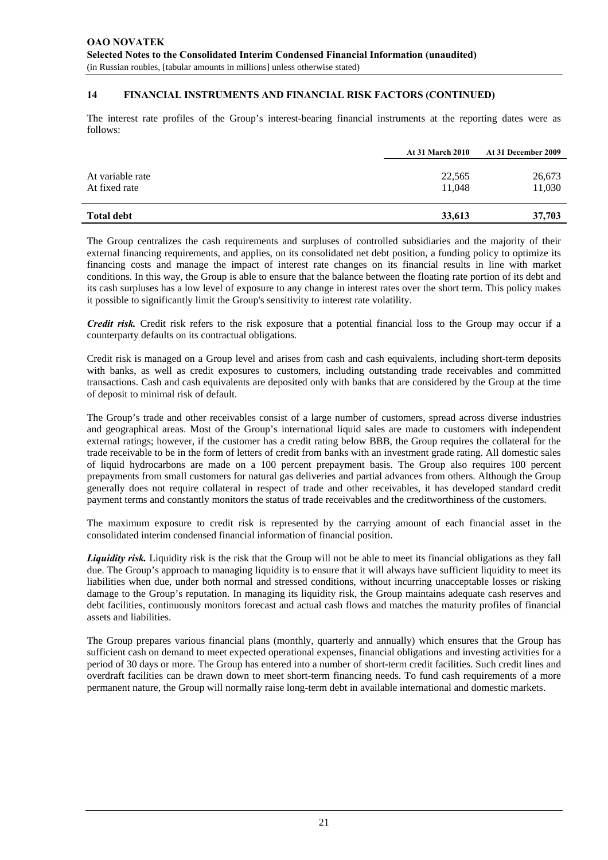The interest rate profiles of the Group's interest-bearing financial instruments at the reporting dates were as follows:

|                                   | <b>At 31 March 2010</b> | At 31 December 2009 |
|-----------------------------------|-------------------------|---------------------|
| At variable rate<br>At fixed rate | 22,565<br>11.048        | 26,673<br>11,030    |
| <b>Total debt</b>                 | 33,613                  | 37,703              |

The Group centralizes the cash requirements and surpluses of controlled subsidiaries and the majority of their external financing requirements, and applies, on its consolidated net debt position, a funding policy to optimize its financing costs and manage the impact of interest rate changes on its financial results in line with market conditions. In this way, the Group is able to ensure that the balance between the floating rate portion of its debt and its cash surpluses has a low level of exposure to any change in interest rates over the short term. This policy makes it possible to significantly limit the Group's sensitivity to interest rate volatility.

*Credit risk.* Credit risk refers to the risk exposure that a potential financial loss to the Group may occur if a counterparty defaults on its contractual obligations.

Credit risk is managed on a Group level and arises from cash and cash equivalents, including short-term deposits with banks, as well as credit exposures to customers, including outstanding trade receivables and committed transactions. Cash and cash equivalents are deposited only with banks that are considered by the Group at the time of deposit to minimal risk of default.

The Group's trade and other receivables consist of a large number of customers, spread across diverse industries and geographical areas. Most of the Group's international liquid sales are made to customers with independent external ratings; however, if the customer has a credit rating below BBB, the Group requires the collateral for the trade receivable to be in the form of letters of credit from banks with an investment grade rating. All domestic sales of liquid hydrocarbons are made on a 100 percent prepayment basis. The Group also requires 100 percent prepayments from small customers for natural gas deliveries and partial advances from others. Although the Group generally does not require collateral in respect of trade and other receivables, it has developed standard credit payment terms and constantly monitors the status of trade receivables and the creditworthiness of the customers.

The maximum exposure to credit risk is represented by the carrying amount of each financial asset in the consolidated interim condensed financial information of financial position.

*Liquidity risk.* Liquidity risk is the risk that the Group will not be able to meet its financial obligations as they fall due. The Group's approach to managing liquidity is to ensure that it will always have sufficient liquidity to meet its liabilities when due, under both normal and stressed conditions, without incurring unacceptable losses or risking damage to the Group's reputation. In managing its liquidity risk, the Group maintains adequate cash reserves and debt facilities, continuously monitors forecast and actual cash flows and matches the maturity profiles of financial assets and liabilities.

The Group prepares various financial plans (monthly, quarterly and annually) which ensures that the Group has sufficient cash on demand to meet expected operational expenses, financial obligations and investing activities for a period of 30 days or more. The Group has entered into a number of short-term credit facilities. Such credit lines and overdraft facilities can be drawn down to meet short-term financing needs. To fund cash requirements of a more permanent nature, the Group will normally raise long-term debt in available international and domestic markets.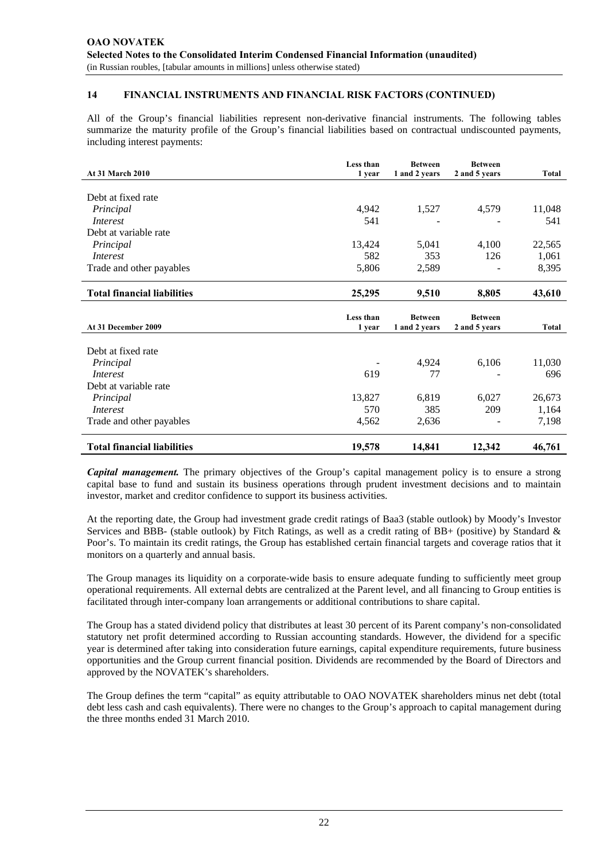All of the Group's financial liabilities represent non-derivative financial instruments. The following tables summarize the maturity profile of the Group's financial liabilities based on contractual undiscounted payments, including interest payments:

| <b>At 31 March 2010</b>                     | Less than<br>1 year | <b>Between</b><br>1 and 2 years | <b>Between</b><br>2 and 5 years | Total          |
|---------------------------------------------|---------------------|---------------------------------|---------------------------------|----------------|
|                                             |                     |                                 |                                 |                |
| Debt at fixed rate                          |                     |                                 |                                 |                |
| Principal                                   | 4,942               | 1,527                           | 4,579                           | 11,048         |
| <i>Interest</i>                             | 541                 |                                 |                                 | 541            |
| Debt at variable rate                       |                     |                                 |                                 |                |
| Principal                                   | 13,424              | 5,041                           | 4,100                           | 22,565         |
| <i>Interest</i>                             | 582                 | 353                             | 126                             | 1,061          |
| Trade and other payables                    | 5,806               | 2,589                           |                                 | 8,395          |
| <b>Total financial liabilities</b>          | 25,295              | 9,510                           | 8,805                           | 43,610         |
|                                             |                     |                                 |                                 |                |
|                                             |                     |                                 |                                 |                |
| At 31 December 2009                         | Less than<br>1 year | <b>Between</b><br>1 and 2 years | <b>Between</b><br>2 and 5 years | <b>Total</b>   |
|                                             |                     |                                 |                                 |                |
| Debt at fixed rate                          |                     |                                 |                                 |                |
| Principal                                   |                     | 4,924                           | 6,106                           | 11,030         |
| <i>Interest</i>                             | 619                 | 77                              |                                 | 696            |
| Debt at variable rate                       |                     |                                 |                                 |                |
| Principal                                   | 13,827              | 6,819                           | 6,027                           | 26,673         |
| <i>Interest</i><br>Trade and other payables | 570<br>4,562        | 385<br>2,636                    | 209                             | 1,164<br>7,198 |

*Capital management.* The primary objectives of the Group's capital management policy is to ensure a strong capital base to fund and sustain its business operations through prudent investment decisions and to maintain investor, market and creditor confidence to support its business activities.

At the reporting date, the Group had investment grade credit ratings of Baa3 (stable outlook) by Moody's Investor Services and BBB- (stable outlook) by Fitch Ratings, as well as a credit rating of BB+ (positive) by Standard & Poor's. To maintain its credit ratings, the Group has established certain financial targets and coverage ratios that it monitors on a quarterly and annual basis.

The Group manages its liquidity on a corporate-wide basis to ensure adequate funding to sufficiently meet group operational requirements. All external debts are centralized at the Parent level, and all financing to Group entities is facilitated through inter-company loan arrangements or additional contributions to share capital.

The Group has a stated dividend policy that distributes at least 30 percent of its Parent company's non-consolidated statutory net profit determined according to Russian accounting standards. However, the dividend for a specific year is determined after taking into consideration future earnings, capital expenditure requirements, future business opportunities and the Group current financial position. Dividends are recommended by the Board of Directors and approved by the NOVATEK's shareholders.

The Group defines the term "capital" as equity attributable to OAO NOVATEK shareholders minus net debt (total debt less cash and cash equivalents). There were no changes to the Group's approach to capital management during the three months ended 31 March 2010.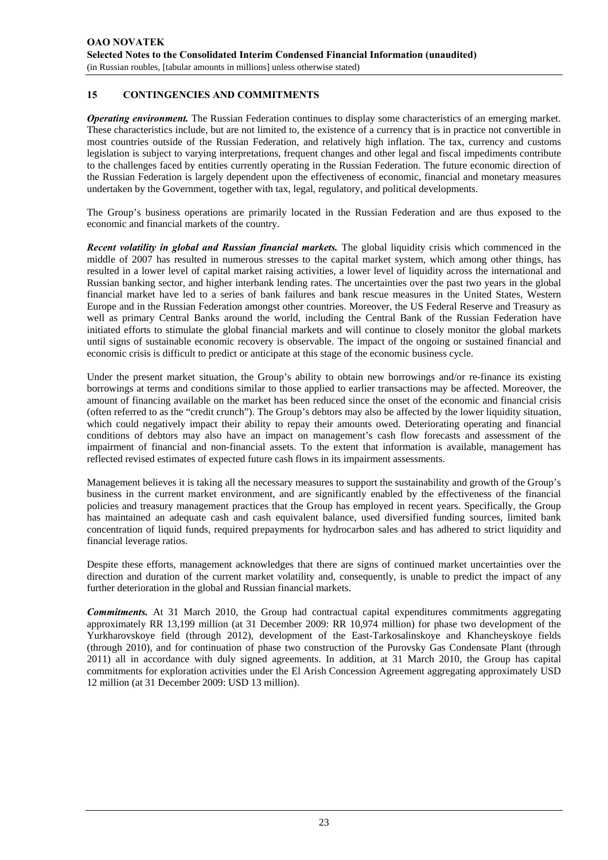#### **15 CONTINGENCIES AND COMMITMENTS**

*Operating environment.* The Russian Federation continues to display some characteristics of an emerging market. These characteristics include, but are not limited to, the existence of a currency that is in practice not convertible in most countries outside of the Russian Federation, and relatively high inflation. The tax, currency and customs legislation is subject to varying interpretations, frequent changes and other legal and fiscal impediments contribute to the challenges faced by entities currently operating in the Russian Federation. The future economic direction of the Russian Federation is largely dependent upon the effectiveness of economic, financial and monetary measures undertaken by the Government, together with tax, legal, regulatory, and political developments.

The Group's business operations are primarily located in the Russian Federation and are thus exposed to the economic and financial markets of the country.

*Recent volatility in global and Russian financial markets.* The global liquidity crisis which commenced in the middle of 2007 has resulted in numerous stresses to the capital market system, which among other things, has resulted in a lower level of capital market raising activities, a lower level of liquidity across the international and Russian banking sector, and higher interbank lending rates. The uncertainties over the past two years in the global financial market have led to a series of bank failures and bank rescue measures in the United States, Western Europe and in the Russian Federation amongst other countries. Moreover, the US Federal Reserve and Treasury as well as primary Central Banks around the world, including the Central Bank of the Russian Federation have initiated efforts to stimulate the global financial markets and will continue to closely monitor the global markets until signs of sustainable economic recovery is observable. The impact of the ongoing or sustained financial and economic crisis is difficult to predict or anticipate at this stage of the economic business cycle.

Under the present market situation, the Group's ability to obtain new borrowings and/or re-finance its existing borrowings at terms and conditions similar to those applied to earlier transactions may be affected. Moreover, the amount of financing available on the market has been reduced since the onset of the economic and financial crisis (often referred to as the "credit crunch"). The Group's debtors may also be affected by the lower liquidity situation, which could negatively impact their ability to repay their amounts owed. Deteriorating operating and financial conditions of debtors may also have an impact on management's cash flow forecasts and assessment of the impairment of financial and non-financial assets. To the extent that information is available, management has reflected revised estimates of expected future cash flows in its impairment assessments.

Management believes it is taking all the necessary measures to support the sustainability and growth of the Group's business in the current market environment, and are significantly enabled by the effectiveness of the financial policies and treasury management practices that the Group has employed in recent years. Specifically, the Group has maintained an adequate cash and cash equivalent balance, used diversified funding sources, limited bank concentration of liquid funds, required prepayments for hydrocarbon sales and has adhered to strict liquidity and financial leverage ratios.

Despite these efforts, management acknowledges that there are signs of continued market uncertainties over the direction and duration of the current market volatility and, consequently, is unable to predict the impact of any further deterioration in the global and Russian financial markets.

*Commitments.* At 31 March 2010, the Group had contractual capital expenditures commitments aggregating approximately RR 13,199 million (at 31 December 2009: RR 10,974 million) for phase two development of the Yurkharovskoye field (through 2012), development of the East-Tarkosalinskoye and Khancheyskoye fields (through 2010), and for continuation of phase two construction of the Purovsky Gas Condensate Plant (through 2011) all in accordance with duly signed agreements. In addition, at 31 March 2010, the Group has capital commitments for exploration activities under the El Arish Concession Agreement aggregating approximately USD 12 million (at 31 December 2009: USD 13 million).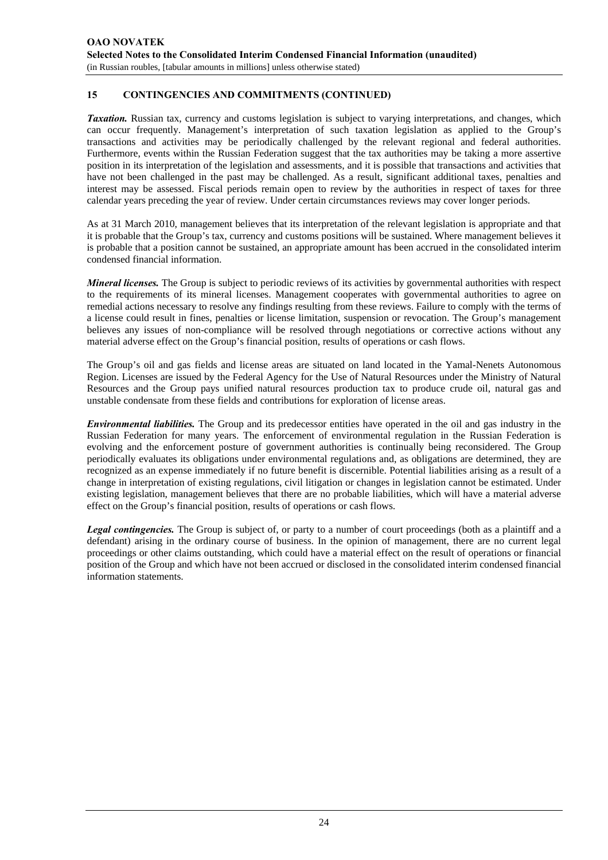#### **15 CONTINGENCIES AND COMMITMENTS (CONTINUED)**

*Taxation.* Russian tax, currency and customs legislation is subject to varying interpretations, and changes, which can occur frequently. Management's interpretation of such taxation legislation as applied to the Group's transactions and activities may be periodically challenged by the relevant regional and federal authorities. Furthermore, events within the Russian Federation suggest that the tax authorities may be taking a more assertive position in its interpretation of the legislation and assessments, and it is possible that transactions and activities that have not been challenged in the past may be challenged. As a result, significant additional taxes, penalties and interest may be assessed. Fiscal periods remain open to review by the authorities in respect of taxes for three calendar years preceding the year of review. Under certain circumstances reviews may cover longer periods.

As at 31 March 2010, management believes that its interpretation of the relevant legislation is appropriate and that it is probable that the Group's tax, currency and customs positions will be sustained. Where management believes it is probable that a position cannot be sustained, an appropriate amount has been accrued in the consolidated interim condensed financial information.

*Mineral licenses.* The Group is subject to periodic reviews of its activities by governmental authorities with respect to the requirements of its mineral licenses. Management cooperates with governmental authorities to agree on remedial actions necessary to resolve any findings resulting from these reviews. Failure to comply with the terms of a license could result in fines, penalties or license limitation, suspension or revocation. The Group's management believes any issues of non-compliance will be resolved through negotiations or corrective actions without any material adverse effect on the Group's financial position, results of operations or cash flows.

The Group's oil and gas fields and license areas are situated on land located in the Yamal-Nenets Autonomous Region. Licenses are issued by the Federal Agency for the Use of Natural Resources under the Ministry of Natural Resources and the Group pays unified natural resources production tax to produce crude oil, natural gas and unstable condensate from these fields and contributions for exploration of license areas.

*Environmental liabilities.* The Group and its predecessor entities have operated in the oil and gas industry in the Russian Federation for many years. The enforcement of environmental regulation in the Russian Federation is evolving and the enforcement posture of government authorities is continually being reconsidered. The Group periodically evaluates its obligations under environmental regulations and, as obligations are determined, they are recognized as an expense immediately if no future benefit is discernible. Potential liabilities arising as a result of a change in interpretation of existing regulations, civil litigation or changes in legislation cannot be estimated. Under existing legislation, management believes that there are no probable liabilities, which will have a material adverse effect on the Group's financial position, results of operations or cash flows.

*Legal contingencies.* The Group is subject of, or party to a number of court proceedings (both as a plaintiff and a defendant) arising in the ordinary course of business. In the opinion of management, there are no current legal proceedings or other claims outstanding, which could have a material effect on the result of operations or financial position of the Group and which have not been accrued or disclosed in the consolidated interim condensed financial information statements.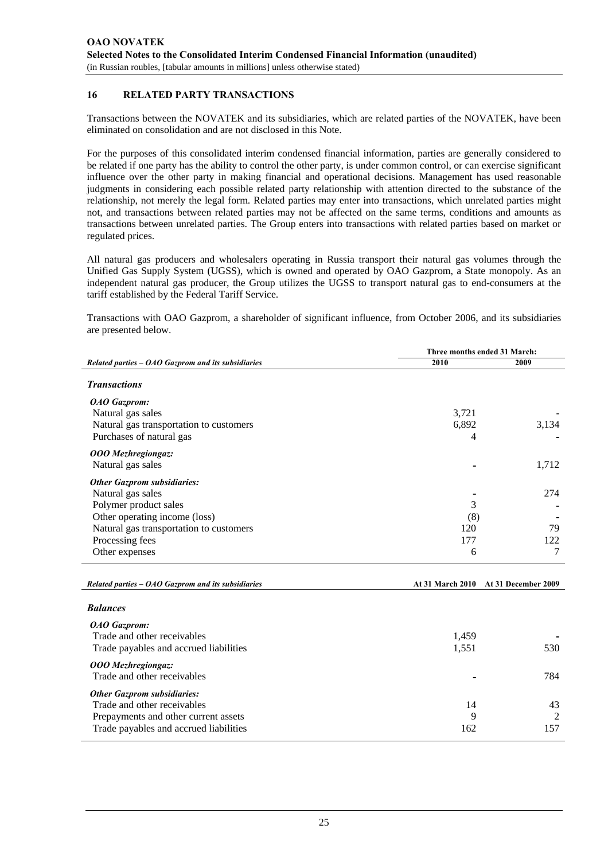#### **16 RELATED PARTY TRANSACTIONS**

Transactions between the NOVATEK and its subsidiaries, which are related parties of the NOVATEK, have been eliminated on consolidation and are not disclosed in this Note.

For the purposes of this consolidated interim condensed financial information, parties are generally considered to be related if one party has the ability to control the other party, is under common control, or can exercise significant influence over the other party in making financial and operational decisions. Management has used reasonable judgments in considering each possible related party relationship with attention directed to the substance of the relationship, not merely the legal form. Related parties may enter into transactions, which unrelated parties might not, and transactions between related parties may not be affected on the same terms, conditions and amounts as transactions between unrelated parties. The Group enters into transactions with related parties based on market or regulated prices.

All natural gas producers and wholesalers operating in Russia transport their natural gas volumes through the Unified Gas Supply System (UGSS), which is owned and operated by OAO Gazprom, a State monopoly. As an independent natural gas producer, the Group utilizes the UGSS to transport natural gas to end-consumers at the tariff established by the Federal Tariff Service.

Transactions with OAO Gazprom, a shareholder of significant influence, from October 2006, and its subsidiaries are presented below.

|                                                      | Three months ended 31 March: |                     |  |  |
|------------------------------------------------------|------------------------------|---------------------|--|--|
| Related parties $-$ OAO Gazprom and its subsidiaries | 2010                         | 2009                |  |  |
| <b>Transactions</b>                                  |                              |                     |  |  |
| OAO Gazprom:                                         |                              |                     |  |  |
| Natural gas sales                                    | 3,721                        |                     |  |  |
| Natural gas transportation to customers              | 6,892                        | 3,134               |  |  |
| Purchases of natural gas                             | 4                            |                     |  |  |
| <b>OOO</b> Mezhregiongaz:                            |                              |                     |  |  |
| Natural gas sales                                    |                              | 1,712               |  |  |
| <b>Other Gazprom subsidiaries:</b>                   |                              |                     |  |  |
| Natural gas sales                                    |                              | 274                 |  |  |
| Polymer product sales                                | 3                            |                     |  |  |
| Other operating income (loss)                        | (8)                          |                     |  |  |
| Natural gas transportation to customers              | 120                          | 79                  |  |  |
| Processing fees                                      | 177                          | 122                 |  |  |
| Other expenses                                       | 6                            | 7                   |  |  |
|                                                      |                              |                     |  |  |
| Related parties $-$ OAO Gazprom and its subsidiaries | <b>At 31 March 2010</b>      | At 31 December 2009 |  |  |

| <b>Balances</b>                                                                                                                                     |                |                |
|-----------------------------------------------------------------------------------------------------------------------------------------------------|----------------|----------------|
| <b>OAO</b> Gazprom:<br>Trade and other receivables<br>Trade payables and accrued liabilities                                                        | 1,459<br>1,551 | 530            |
| <b>OOO</b> Mezhregiongaz:<br>Trade and other receivables                                                                                            |                | 784            |
| <b>Other Gazprom subsidiaries:</b><br>Trade and other receivables<br>Prepayments and other current assets<br>Trade payables and accrued liabilities | 14<br>9<br>162 | 43<br>2<br>157 |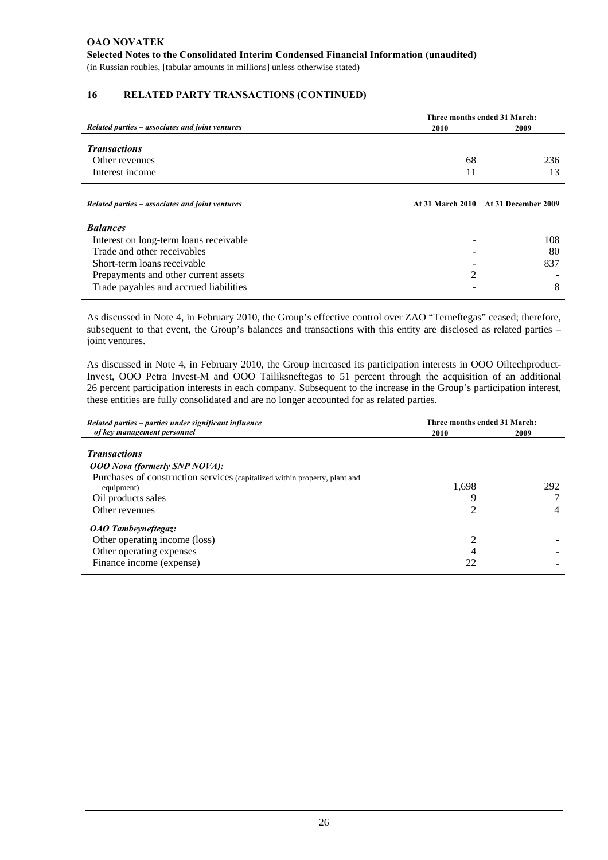#### **16 RELATED PARTY TRANSACTIONS (CONTINUED)**

|                                                                                                                                                                                                           | Three months ended 31 March: |                                      |  |  |
|-----------------------------------------------------------------------------------------------------------------------------------------------------------------------------------------------------------|------------------------------|--------------------------------------|--|--|
| Related parties – associates and joint ventures                                                                                                                                                           | 2010                         | 2009                                 |  |  |
| <b>Transactions</b><br>Other revenues<br>Interest income                                                                                                                                                  | 68<br>11                     | 236<br>13                            |  |  |
| Related parties – associates and joint ventures                                                                                                                                                           |                              | At 31 March 2010 At 31 December 2009 |  |  |
| <b>Balances</b><br>Interest on long-term loans receivable<br>Trade and other receivables<br>Short-term loans receivable<br>Prepayments and other current assets<br>Trade payables and accrued liabilities | 2                            | 108<br>80<br>837<br>8                |  |  |

As discussed in Note 4, in February 2010, the Group's effective control over ZAO "Terneftegas" ceased; therefore, subsequent to that event, the Group's balances and transactions with this entity are disclosed as related parties – joint ventures.

As discussed in Note 4, in February 2010, the Group increased its participation interests in OOO Oiltechproduct-Invest, OOO Petra Invest-M and OOO Tailiksneftegas to 51 percent through the acquisition of an additional 26 percent participation interests in each company. Subsequent to the increase in the Group's participation interest, these entities are fully consolidated and are no longer accounted for as related parties.

| Related parties – parties under significant influence                                                                            | Three months ended 31 March: |      |  |  |
|----------------------------------------------------------------------------------------------------------------------------------|------------------------------|------|--|--|
| of key management personnel                                                                                                      | 2010                         | 2009 |  |  |
| <b>Transactions</b>                                                                                                              |                              |      |  |  |
| <b>OOO</b> Nova (formerly SNP NOVA):<br>Purchases of construction services (capitalized within property, plant and<br>equipment) | 1.698                        | 292  |  |  |
| Oil products sales                                                                                                               | 9                            |      |  |  |
| Other revenues                                                                                                                   | 2                            | 4    |  |  |
| OAO Tambeyneftegaz:                                                                                                              |                              |      |  |  |
| Other operating income (loss)                                                                                                    | 2                            |      |  |  |
| Other operating expenses                                                                                                         |                              |      |  |  |
| Finance income (expense)                                                                                                         | 22                           |      |  |  |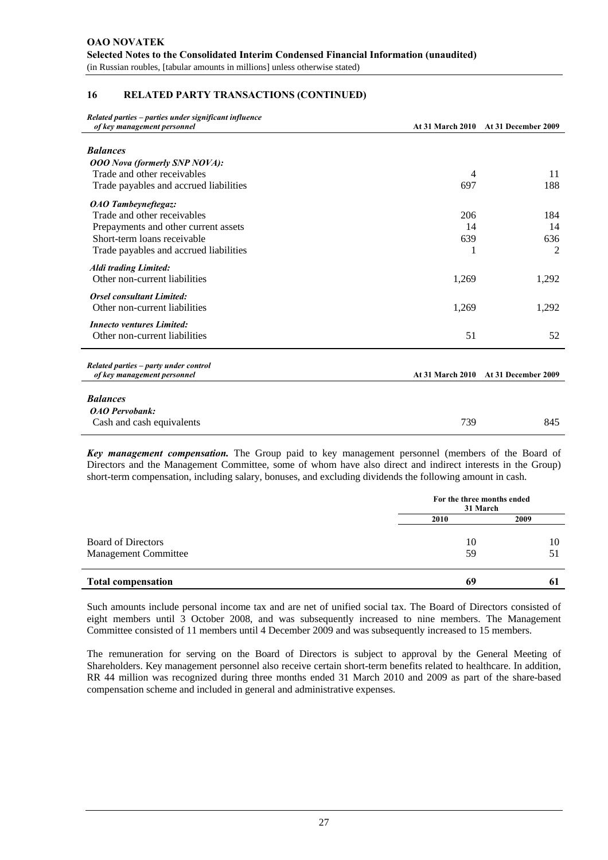#### **16 RELATED PARTY TRANSACTIONS (CONTINUED)**

| Related parties – parties under significant influence                |       |                                      |
|----------------------------------------------------------------------|-------|--------------------------------------|
| of key management personnel                                          |       | At 31 March 2010 At 31 December 2009 |
| <b>Balances</b>                                                      |       |                                      |
| <b>OOO</b> Nova (formerly SNP NOVA):                                 |       |                                      |
| Trade and other receivables                                          | 4     | 11                                   |
| Trade payables and accrued liabilities                               | 697   | 188                                  |
| <b>OAO</b> Tambeyneftegaz:                                           |       |                                      |
| Trade and other receivables                                          | 206   | 184                                  |
| Prepayments and other current assets                                 | 14    | 14                                   |
| Short-term loans receivable                                          | 639   | 636                                  |
| Trade payables and accrued liabilities                               | 1     | $\overline{2}$                       |
| <b>Aldi trading Limited:</b>                                         |       |                                      |
| Other non-current liabilities                                        | 1,269 | 1,292                                |
| <b>Orsel consultant Limited:</b>                                     |       |                                      |
| Other non-current liabilities                                        | 1,269 | 1,292                                |
| <b>Innecto ventures Limited:</b>                                     |       |                                      |
| Other non-current liabilities                                        | 51    | 52                                   |
|                                                                      |       |                                      |
| Related parties - party under control<br>of key management personnel |       | At 31 March 2010 At 31 December 2009 |
|                                                                      |       |                                      |
| <b>Balances</b>                                                      |       |                                      |
| <b>OAO</b> Pervobank:                                                |       |                                      |
| Cash and cash equivalents                                            | 739   | 845                                  |

*Key management compensation.* The Group paid to key management personnel (members of the Board of Directors and the Management Committee, some of whom have also direct and indirect interests in the Group) short-term compensation, including salary, bonuses, and excluding dividends the following amount in cash.

|                             |      | For the three months ended<br>31 March |  |  |
|-----------------------------|------|----------------------------------------|--|--|
|                             | 2010 | 2009                                   |  |  |
| <b>Board of Directors</b>   | 10   | 10                                     |  |  |
| <b>Management Committee</b> | 59   | 51                                     |  |  |
| <b>Total compensation</b>   | 69   | $\boldsymbol{6}$                       |  |  |

Such amounts include personal income tax and are net of unified social tax. The Board of Directors consisted of eight members until 3 October 2008, and was subsequently increased to nine members. The Management Committee consisted of 11 members until 4 December 2009 and was subsequently increased to 15 members.

The remuneration for serving on the Board of Directors is subject to approval by the General Meeting of Shareholders. Key management personnel also receive certain short-term benefits related to healthcare. In addition, RR 44 million was recognized during three months ended 31 March 2010 and 2009 as part of the share-based compensation scheme and included in general and administrative expenses.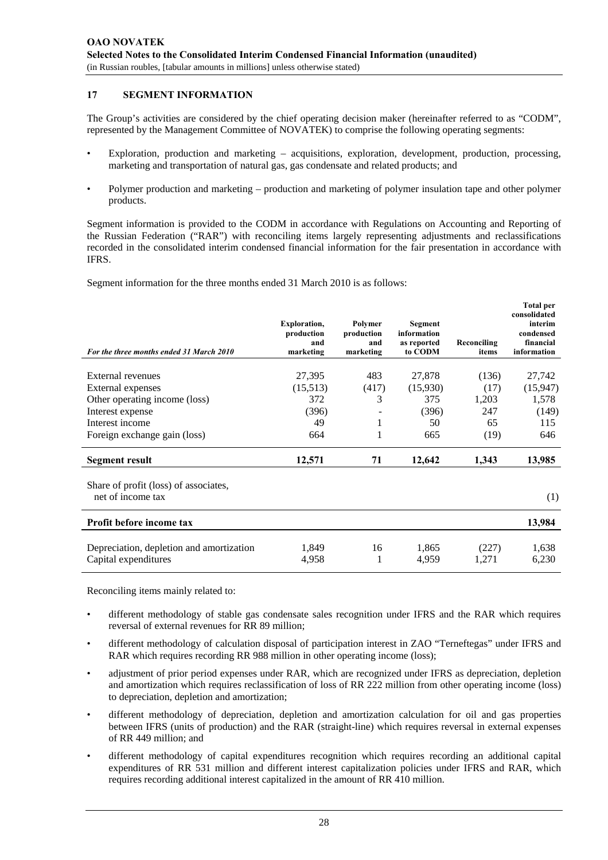#### **17 SEGMENT INFORMATION**

The Group's activities are considered by the chief operating decision maker (hereinafter referred to as "CODM", represented by the Management Committee of NOVATEK) to comprise the following operating segments:

- Exploration, production and marketing acquisitions, exploration, development, production, processing, marketing and transportation of natural gas, gas condensate and related products; and
- Polymer production and marketing production and marketing of polymer insulation tape and other polymer products.

Segment information is provided to the CODM in accordance with Regulations on Accounting and Reporting of the Russian Federation ("RAR") with reconciling items largely representing adjustments and reclassifications recorded in the consolidated interim condensed financial information for the fair presentation in accordance with IFRS.

Segment information for the three months ended 31 March 2010 is as follows:

| For the three months ended 31 March 2010                   | <b>Exploration,</b><br>production<br>and<br>marketing | Polymer<br>production<br>and<br>marketing | Segment<br>information<br>as reported<br>to CODM | Reconciling<br>items | <b>Total per</b><br>consolidated<br>interim<br>condensed<br>financial<br>information |
|------------------------------------------------------------|-------------------------------------------------------|-------------------------------------------|--------------------------------------------------|----------------------|--------------------------------------------------------------------------------------|
|                                                            |                                                       |                                           |                                                  |                      |                                                                                      |
| External revenues                                          | 27,395                                                | 483                                       | 27,878                                           | (136)                | 27,742                                                                               |
| <b>External expenses</b>                                   | (15,513)                                              | (417)                                     | (15,930)                                         | (17)                 | (15, 947)                                                                            |
| Other operating income (loss)                              | 372                                                   | 3                                         | 375                                              | 1,203                | 1,578                                                                                |
| Interest expense                                           | (396)                                                 |                                           | (396)                                            | 247                  | (149)                                                                                |
| Interest income                                            | 49                                                    | 1                                         | 50                                               | 65                   | 115                                                                                  |
| Foreign exchange gain (loss)                               | 664                                                   | 1                                         | 665                                              | (19)                 | 646                                                                                  |
| <b>Segment result</b>                                      | 12,571                                                | 71                                        | 12,642                                           | 1,343                | 13,985                                                                               |
| Share of profit (loss) of associates,<br>net of income tax |                                                       |                                           |                                                  |                      | (1)                                                                                  |
| Profit before income tax                                   |                                                       |                                           |                                                  |                      | 13,984                                                                               |
|                                                            |                                                       |                                           |                                                  |                      |                                                                                      |
| Depreciation, depletion and amortization                   | 1,849                                                 | 16                                        | 1,865                                            | (227)                | 1,638                                                                                |
| Capital expenditures                                       | 4,958                                                 | 1                                         | 4,959                                            | 1,271                | 6,230                                                                                |

Reconciling items mainly related to:

- different methodology of stable gas condensate sales recognition under IFRS and the RAR which requires reversal of external revenues for RR 89 million;
- different methodology of calculation disposal of participation interest in ZAO "Terneftegas" under IFRS and RAR which requires recording RR 988 million in other operating income (loss);
- adjustment of prior period expenses under RAR, which are recognized under IFRS as depreciation, depletion and amortization which requires reclassification of loss of RR 222 million from other operating income (loss) to depreciation, depletion and amortization;
- different methodology of depreciation, depletion and amortization calculation for oil and gas properties between IFRS (units of production) and the RAR (straight-line) which requires reversal in external expenses of RR 449 million; and
- different methodology of capital expenditures recognition which requires recording an additional capital expenditures of RR 531 million and different interest capitalization policies under IFRS and RAR, which requires recording additional interest capitalized in the amount of RR 410 million.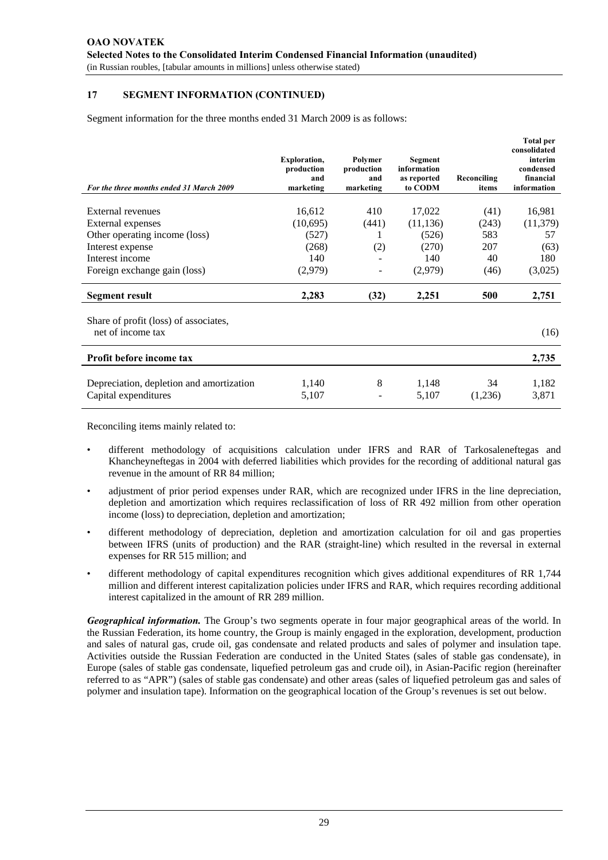#### **17 SEGMENT INFORMATION (CONTINUED)**

Segment information for the three months ended 31 March 2009 is as follows:

| For the three months ended 31 March 2009                   | <b>Exploration,</b><br>production<br>and<br>marketing | Polymer<br>production<br>and<br>marketing | Segment<br>information<br>as reported<br>to CODM | Reconciling<br>items | <b>Total per</b><br>consolidated<br>interim<br>condensed<br>financial<br>information |
|------------------------------------------------------------|-------------------------------------------------------|-------------------------------------------|--------------------------------------------------|----------------------|--------------------------------------------------------------------------------------|
|                                                            |                                                       |                                           |                                                  |                      |                                                                                      |
| <b>External revenues</b>                                   | 16,612                                                | 410                                       | 17,022                                           | (41)                 | 16,981                                                                               |
| External expenses                                          | (10,695)                                              | (441)                                     | (11, 136)                                        | (243)                | (11, 379)                                                                            |
| Other operating income (loss)                              | (527)                                                 | 1                                         | (526)                                            | 583                  | 57                                                                                   |
| Interest expense                                           | (268)                                                 | (2)                                       | (270)                                            | 207                  | (63)                                                                                 |
| Interest income                                            | 140                                                   |                                           | 140                                              | 40                   | 180                                                                                  |
| Foreign exchange gain (loss)                               | (2,979)                                               | ۰                                         | (2,979)                                          | (46)                 | (3,025)                                                                              |
| Segment result                                             | 2,283                                                 | (32)                                      | 2,251                                            | 500                  | 2,751                                                                                |
| Share of profit (loss) of associates,<br>net of income tax |                                                       |                                           |                                                  |                      | (16)                                                                                 |
|                                                            |                                                       |                                           |                                                  |                      |                                                                                      |
| Profit before income tax                                   |                                                       |                                           |                                                  |                      | 2,735                                                                                |
|                                                            |                                                       |                                           |                                                  |                      |                                                                                      |
| Depreciation, depletion and amortization                   | 1,140                                                 | 8                                         | 1,148                                            | 34                   | 1,182                                                                                |
| Capital expenditures                                       | 5,107                                                 |                                           | 5,107                                            | (1,236)              | 3,871                                                                                |

Reconciling items mainly related to:

- different methodology of acquisitions calculation under IFRS and RAR of Tarkosaleneftegas and Khancheyneftegas in 2004 with deferred liabilities which provides for the recording of additional natural gas revenue in the amount of RR 84 million;
- adjustment of prior period expenses under RAR, which are recognized under IFRS in the line depreciation, depletion and amortization which requires reclassification of loss of RR 492 million from other operation income (loss) to depreciation, depletion and amortization;
- different methodology of depreciation, depletion and amortization calculation for oil and gas properties between IFRS (units of production) and the RAR (straight-line) which resulted in the reversal in external expenses for RR 515 million; and
- different methodology of capital expenditures recognition which gives additional expenditures of RR 1,744 million and different interest capitalization policies under IFRS and RAR, which requires recording additional interest capitalized in the amount of RR 289 million.

*Geographical information.* The Group's two segments operate in four major geographical areas of the world. In the Russian Federation, its home country, the Group is mainly engaged in the exploration, development, production and sales of natural gas, crude oil, gas condensate and related products and sales of polymer and insulation tape. Activities outside the Russian Federation are conducted in the United States (sales of stable gas condensate), in Europe (sales of stable gas condensate, liquefied petroleum gas and crude oil), in Asian-Pacific region (hereinafter referred to as "APR") (sales of stable gas condensate) and other areas (sales of liquefied petroleum gas and sales of polymer and insulation tape). Information on the geographical location of the Group's revenues is set out below.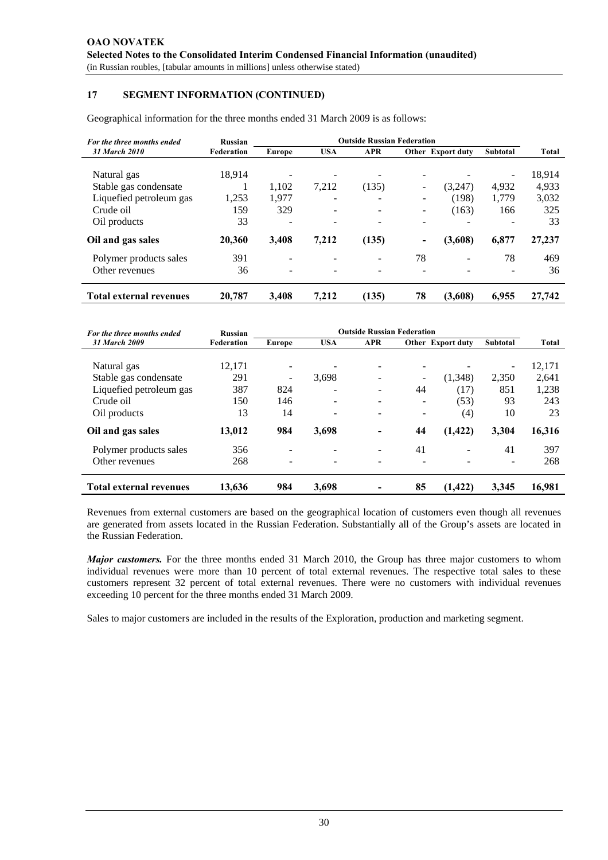#### **17 SEGMENT INFORMATION (CONTINUED)**

Geographical information for the three months ended 31 March 2009 is as follows:

| For the three months ended     | Russian    | <b>Outside Russian Federation</b> |                 |                          |                          |                          |                          |        |
|--------------------------------|------------|-----------------------------------|-----------------|--------------------------|--------------------------|--------------------------|--------------------------|--------|
| 31 March 2010                  | Federation | Europe                            | <b>USA</b>      | <b>APR</b>               |                          | <b>Other</b> Export duty | <b>Subtotal</b>          | Total  |
|                                |            |                                   |                 |                          |                          |                          |                          |        |
| Natural gas                    | 18.914     |                                   |                 |                          |                          |                          | $\overline{\phantom{0}}$ | 18.914 |
| Stable gas condensate          |            | 1,102                             | 7,212           | (135)                    | $\overline{\phantom{0}}$ | (3,247)                  | 4,932                    | 4,933  |
| Liquefied petroleum gas        | 1,253      | 1,977                             | $\qquad \qquad$ | $\overline{\phantom{0}}$ |                          | (198)                    | 1.779                    | 3,032  |
| Crude oil                      | 159        | 329                               |                 |                          |                          | (163)                    | 166                      | 325    |
| Oil products                   | 33         |                                   |                 |                          |                          |                          |                          | 33     |
| Oil and gas sales              | 20.360     | 3,408                             | 7,212           | (135)                    | -                        | (3,608)                  | 6,877                    | 27,237 |
| Polymer products sales         | 391        |                                   |                 | -                        | 78                       | ۰                        | 78                       | 469    |
| Other revenues                 | 36         | ۰                                 |                 |                          | -                        |                          |                          | 36     |
| <b>Total external revenues</b> | 20.787     | 3.408                             | 7,212           | (135)                    | 78                       | (3,608)                  | 6,955                    | 27,742 |

| For the three months ended     | Russian    | <b>Outside Russian Federation</b> |                          |            |                          |                          |                          |              |
|--------------------------------|------------|-----------------------------------|--------------------------|------------|--------------------------|--------------------------|--------------------------|--------------|
| <b>31 March 2009</b>           | Federation | Europe                            | <b>USA</b>               | <b>APR</b> |                          | <b>Other</b> Export duty | <b>Subtotal</b>          | <b>Total</b> |
|                                |            |                                   |                          |            |                          |                          |                          |              |
| Natural gas                    | 12,171     |                                   |                          |            |                          |                          | $\overline{\phantom{a}}$ | 12,171       |
| Stable gas condensate          | 291        | $\overline{\phantom{a}}$          | 3,698                    |            | $\overline{\phantom{0}}$ | (1,348)                  | 2,350                    | 2.641        |
| Liquefied petroleum gas        | 387        | 824                               |                          |            | 44                       | (17)                     | 851                      | 1,238        |
| Crude oil                      | 150        | 146                               | $\overline{\phantom{a}}$ | -          | $\overline{\phantom{0}}$ | (53)                     | 93                       | 243          |
| Oil products                   | 13         | 14                                | $\overline{\phantom{a}}$ |            | $\overline{\phantom{a}}$ | (4)                      | 10                       | 23           |
| Oil and gas sales              | 13,012     | 984                               | 3,698                    |            | 44                       | (1, 422)                 | 3,304                    | 16,316       |
| Polymer products sales         | 356        |                                   |                          |            | 41                       |                          | 41                       | 397          |
| Other revenues                 | 268        | -                                 |                          |            |                          |                          |                          | 268          |
| <b>Total external revenues</b> | 13.636     | 984                               | 3,698                    |            | 85                       | (1, 422)                 | 3.345                    | 16,981       |

Revenues from external customers are based on the geographical location of customers even though all revenues are generated from assets located in the Russian Federation. Substantially all of the Group's assets are located in the Russian Federation.

*Major customers.* For the three months ended 31 March 2010, the Group has three major customers to whom individual revenues were more than 10 percent of total external revenues. The respective total sales to these customers represent 32 percent of total external revenues. There were no customers with individual revenues exceeding 10 percent for the three months ended 31 March 2009.

Sales to major customers are included in the results of the Exploration, production and marketing segment.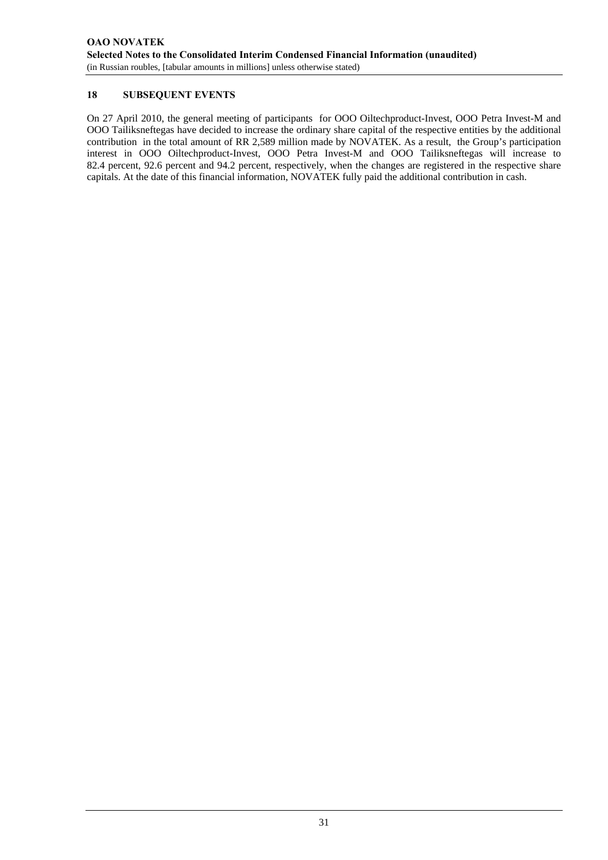#### **18 SUBSEQUENT EVENTS**

On 27 April 2010, the general meeting of participants for OOO Oiltechproduct-Invest, OOO Petra Invest-M and OOO Tailiksneftegas have decided to increase the ordinary share capital of the respective entities by the additional contribution in the total amount of RR 2,589 million made by NOVATEK. As a result, the Group's participation interest in OOO Oiltechproduct-Invest, OOO Petra Invest-M and OOO Tailiksneftegas will increase to 82.4 percent, 92.6 percent and 94.2 percent, respectively, when the changes are registered in the respective share capitals. At the date of this financial information, NOVATEK fully paid the additional contribution in cash.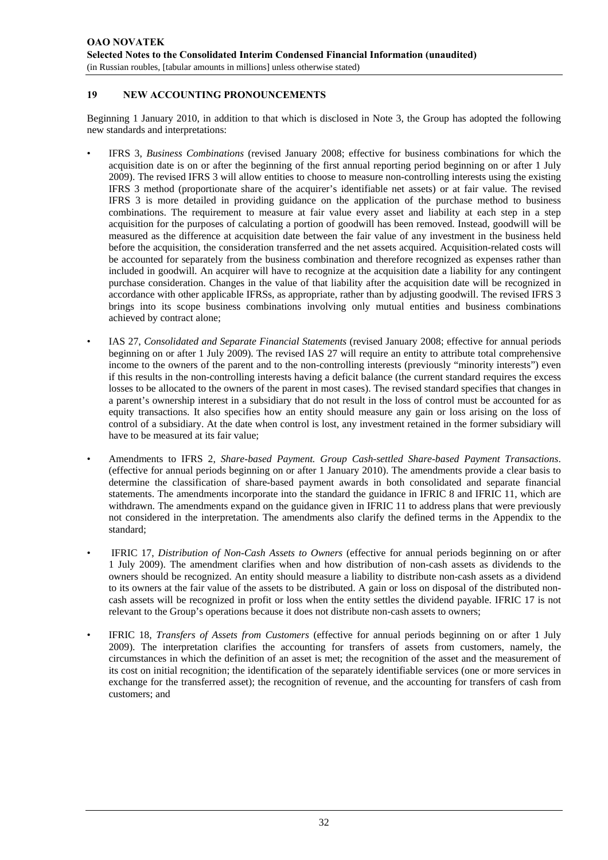#### **19 NEW ACCOUNTING PRONOUNCEMENTS**

Beginning 1 January 2010, in addition to that which is disclosed in Note 3, the Group has adopted the following new standards and interpretations:

- IFRS 3, *Business Combinations* (revised January 2008; effective for business combinations for which the acquisition date is on or after the beginning of the first annual reporting period beginning on or after 1 July 2009). The revised IFRS 3 will allow entities to choose to measure non-controlling interests using the existing IFRS 3 method (proportionate share of the acquirer's identifiable net assets) or at fair value. The revised IFRS 3 is more detailed in providing guidance on the application of the purchase method to business combinations. The requirement to measure at fair value every asset and liability at each step in a step acquisition for the purposes of calculating a portion of goodwill has been removed. Instead, goodwill will be measured as the difference at acquisition date between the fair value of any investment in the business held before the acquisition, the consideration transferred and the net assets acquired. Acquisition-related costs will be accounted for separately from the business combination and therefore recognized as expenses rather than included in goodwill. An acquirer will have to recognize at the acquisition date a liability for any contingent purchase consideration. Changes in the value of that liability after the acquisition date will be recognized in accordance with other applicable IFRSs, as appropriate, rather than by adjusting goodwill. The revised IFRS 3 brings into its scope business combinations involving only mutual entities and business combinations achieved by contract alone;
- IAS 27, *Consolidated and Separate Financial Statements* (revised January 2008; effective for annual periods beginning on or after 1 July 2009). The revised IAS 27 will require an entity to attribute total comprehensive income to the owners of the parent and to the non-controlling interests (previously "minority interests") even if this results in the non-controlling interests having a deficit balance (the current standard requires the excess losses to be allocated to the owners of the parent in most cases). The revised standard specifies that changes in a parent's ownership interest in a subsidiary that do not result in the loss of control must be accounted for as equity transactions. It also specifies how an entity should measure any gain or loss arising on the loss of control of a subsidiary. At the date when control is lost, any investment retained in the former subsidiary will have to be measured at its fair value;
- Amendments to IFRS 2, *Share-based Payment. Group Cash-settled Share-based Payment Transactions*. (effective for annual periods beginning on or after 1 January 2010). The amendments provide a clear basis to determine the classification of share-based payment awards in both consolidated and separate financial statements. The amendments incorporate into the standard the guidance in IFRIC 8 and IFRIC 11, which are withdrawn. The amendments expand on the guidance given in IFRIC 11 to address plans that were previously not considered in the interpretation. The amendments also clarify the defined terms in the Appendix to the standard;
- IFRIC 17, *Distribution of Non-Cash Assets to Owners* (effective for annual periods beginning on or after 1 July 2009). The amendment clarifies when and how distribution of non-cash assets as dividends to the owners should be recognized. An entity should measure a liability to distribute non-cash assets as a dividend to its owners at the fair value of the assets to be distributed. A gain or loss on disposal of the distributed noncash assets will be recognized in profit or loss when the entity settles the dividend payable. IFRIC 17 is not relevant to the Group's operations because it does not distribute non-cash assets to owners;
- IFRIC 18, *Transfers of Assets from Customers* (effective for annual periods beginning on or after 1 July 2009). The interpretation clarifies the accounting for transfers of assets from customers, namely, the circumstances in which the definition of an asset is met; the recognition of the asset and the measurement of its cost on initial recognition; the identification of the separately identifiable services (one or more services in exchange for the transferred asset); the recognition of revenue, and the accounting for transfers of cash from customers; and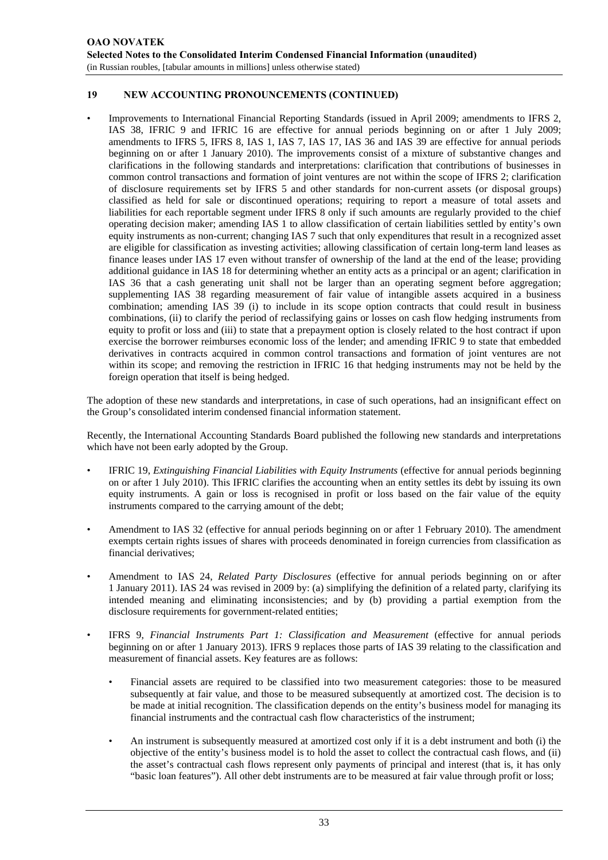#### **19 NEW ACCOUNTING PRONOUNCEMENTS (CONTINUED)**

• Improvements to International Financial Reporting Standards (issued in April 2009; amendments to IFRS 2, IAS 38, IFRIC 9 and IFRIC 16 are effective for annual periods beginning on or after 1 July 2009; amendments to IFRS 5, IFRS 8, IAS 1, IAS 7, IAS 17, IAS 36 and IAS 39 are effective for annual periods beginning on or after 1 January 2010). The improvements consist of a mixture of substantive changes and clarifications in the following standards and interpretations: clarification that contributions of businesses in common control transactions and formation of joint ventures are not within the scope of IFRS 2; clarification of disclosure requirements set by IFRS 5 and other standards for non-current assets (or disposal groups) classified as held for sale or discontinued operations; requiring to report a measure of total assets and liabilities for each reportable segment under IFRS 8 only if such amounts are regularly provided to the chief operating decision maker; amending IAS 1 to allow classification of certain liabilities settled by entity's own equity instruments as non-current; changing IAS 7 such that only expenditures that result in a recognized asset are eligible for classification as investing activities; allowing classification of certain long-term land leases as finance leases under IAS 17 even without transfer of ownership of the land at the end of the lease; providing additional guidance in IAS 18 for determining whether an entity acts as a principal or an agent; clarification in IAS 36 that a cash generating unit shall not be larger than an operating segment before aggregation; supplementing IAS 38 regarding measurement of fair value of intangible assets acquired in a business combination; amending IAS 39 (i) to include in its scope option contracts that could result in business combinations, (ii) to clarify the period of reclassifying gains or losses on cash flow hedging instruments from equity to profit or loss and (iii) to state that a prepayment option is closely related to the host contract if upon exercise the borrower reimburses economic loss of the lender; and amending IFRIC 9 to state that embedded derivatives in contracts acquired in common control transactions and formation of joint ventures are not within its scope; and removing the restriction in IFRIC 16 that hedging instruments may not be held by the foreign operation that itself is being hedged.

The adoption of these new standards and interpretations, in case of such operations, had an insignificant effect on the Group's consolidated interim condensed financial information statement.

Recently, the International Accounting Standards Board published the following new standards and interpretations which have not been early adopted by the Group.

- IFRIC 19, *Extinguishing Financial Liabilities with Equity Instruments* (effective for annual periods beginning on or after 1 July 2010). This IFRIC clarifies the accounting when an entity settles its debt by issuing its own equity instruments. A gain or loss is recognised in profit or loss based on the fair value of the equity instruments compared to the carrying amount of the debt;
- Amendment to IAS 32 (effective for annual periods beginning on or after 1 February 2010). The amendment exempts certain rights issues of shares with proceeds denominated in foreign currencies from classification as financial derivatives;
- Amendment to IAS 24, *Related Party Disclosures* (effective for annual periods beginning on or after 1 January 2011). IAS 24 was revised in 2009 by: (a) simplifying the definition of a related party, clarifying its intended meaning and eliminating inconsistencies; and by (b) providing a partial exemption from the disclosure requirements for government-related entities;
- IFRS 9, *Financial Instruments Part 1: Classification and Measurement* (effective for annual periods beginning on or after 1 January 2013). IFRS 9 replaces those parts of IAS 39 relating to the classification and measurement of financial assets. Key features are as follows:
	- Financial assets are required to be classified into two measurement categories: those to be measured subsequently at fair value, and those to be measured subsequently at amortized cost. The decision is to be made at initial recognition. The classification depends on the entity's business model for managing its financial instruments and the contractual cash flow characteristics of the instrument;
	- An instrument is subsequently measured at amortized cost only if it is a debt instrument and both (i) the objective of the entity's business model is to hold the asset to collect the contractual cash flows, and (ii) the asset's contractual cash flows represent only payments of principal and interest (that is, it has only "basic loan features"). All other debt instruments are to be measured at fair value through profit or loss;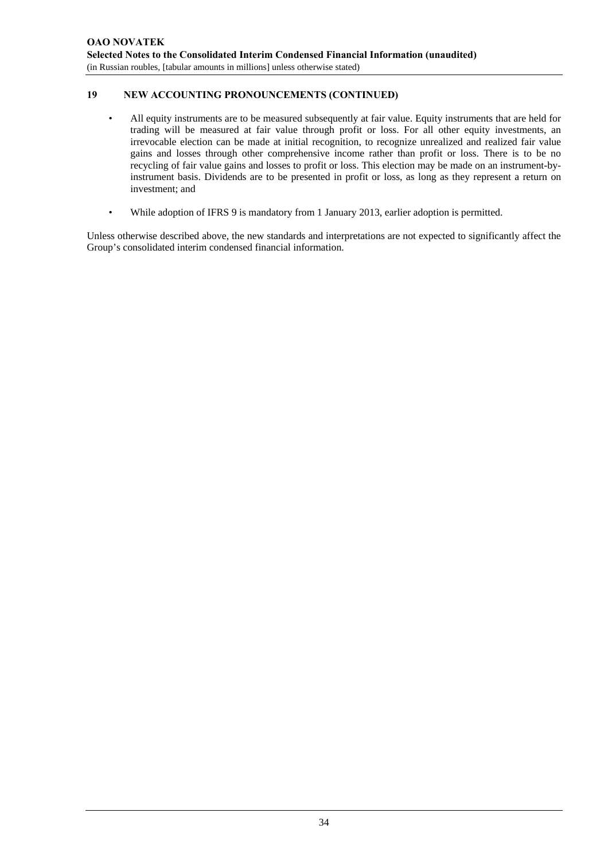#### **19 NEW ACCOUNTING PRONOUNCEMENTS (CONTINUED)**

- All equity instruments are to be measured subsequently at fair value. Equity instruments that are held for trading will be measured at fair value through profit or loss. For all other equity investments, an irrevocable election can be made at initial recognition, to recognize unrealized and realized fair value gains and losses through other comprehensive income rather than profit or loss. There is to be no recycling of fair value gains and losses to profit or loss. This election may be made on an instrument-byinstrument basis. Dividends are to be presented in profit or loss, as long as they represent a return on investment; and
- While adoption of IFRS 9 is mandatory from 1 January 2013, earlier adoption is permitted.

Unless otherwise described above, the new standards and interpretations are not expected to significantly affect the Group's consolidated interim condensed financial information.